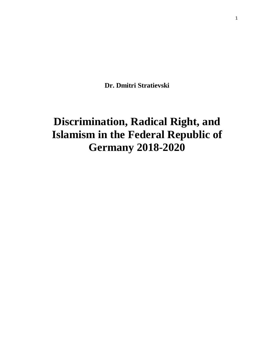**Dr. Dmitri Stratievski**

# **Discrimination, Radical Right, and Islamism in the Federal Republic of Germany 2018-2020**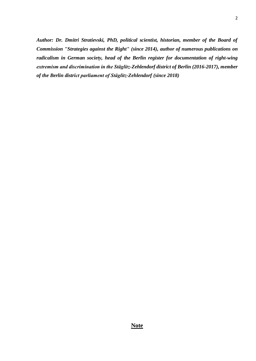*Author: Dr. Dmitri Stratievski, PhD, political scientist, historian, member of the Board of Commission "Strategies against the Right" (since 2014), author of numerous publications on radicalism in German society, head of the Berlin register for documentation of right-wing extremism and discrimination in the Stäglitz-Zehlendorf district of Berlin (2016-2017), member of the Berlin district parliament of Stäglitz-Zehlendorf (since 2018)*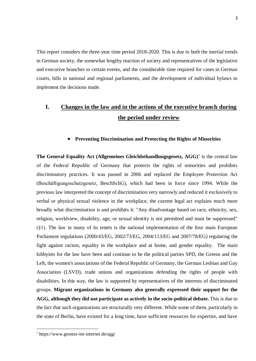This report considers the three-year time period 2018-2020. This is due to both the inertial trends in German society, the somewhat lengthy reaction of society and representatives of the legislative and executive branches to certain events, and the considerable time required for cases in German courts, bills in national and regional parliaments, and the development of individual bylaws to implement the decisions made.

# **I. Changes in the law and in the actions of the executive branch during the period under review**

# **Preventing Discrimination and Protecting the Rights of Minorities**

The General Equality Act (Allgemeines Gleichbehandlungsgesetz, AGG)<sup>1</sup> is the central law of the Federal Republic of Germany that protects the rights of minorities and prohibits discriminatory practices. It was passed in 2006 and replaced the Employee Protection Act (Beschäftigungsschutzgesetz, BeschSchG), which had been in force since 1994. While the previous law interpreted the concept of discrimination very narrowly and reduced it exclusively to verbal or physical sexual violence in the workplace, the current legal act explains much more broadly what discrimination is and prohibits it: "Any disadvantage based on race, ethnicity, sex, religion, worldview, disability, age, or sexual identity is not permitted and must be suppressed" (§1). The law in many of its tenets is the national implementation of the four main European Parliament regulations (2000/43/EG, 2002/73/EG, 2004/113/EG and 2007/78/EG) regulating the fight against racism, equality in the workplace and at home, and gender equality. The main lobbyists for the law have been and continue to be the political parties SPD, the Greens and the Left, the women's associations of the Federal Republic of Germany, the German Lesbian and Gay Association (LSVD), trade unions and organizations defending the rights of people with disabilities. In this way, the law is supported by representatives of the interests of discriminated groups. **Migrant organizations in Germany also generally expressed their support for the AGG, although they did not participate as actively in the socio-political debate.** This is due to the fact that such organizations are structurally very different. While some of them, particularly in the state of Berlin, have existed for a long time, have sufficient resources for expertise, and have

<sup>1</sup> <https://www.gesetze-im-internet.de/agg/>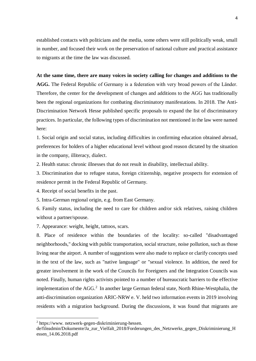established contacts with politicians and the media, some others were still politically weak, small in number, and focused their work on the preservation of national culture and practical assistance to migrants at the time the law was discussed.

#### **At the same time, there are many voices in society calling for changes and additions to the**

**AGG.** The Federal Republic of Germany is a federation with very broad powers of the Länder. Therefore, the center for the development of changes and additions to the AGG has traditionally been the regional organizations for combating discriminatory manifestations. In 2018. The Anti-Discrimination Network Hesse published specific proposals to expand the list of discriminatory practices. In particular, the following types of discrimination not mentioned in the law were named here:

1. Social origin and social status, including difficulties in confirming education obtained abroad, preferences for holders of a higher educational level without good reason dictated by the situation in the company, illiteracy, dialect.

2. Health status: chronic illnesses that do not result in disability, intellectual ability.

3. Discrimination due to refugee status, foreign citizenship, negative prospects for extension of residence permit in the Federal Republic of Germany.

4. Receipt of social benefits in the past.

5. Intra-German regional origin, e.g. from East Germany.

6. Family status, including the need to care for children and/or sick relatives, raising children without a partner/spouse.

7. Appearance: weight, height, tattoos, scars.

8. Place of residence within the boundaries of the locality: so-called "disadvantaged neighborhoods," docking with public transportation, social structure, noise pollution, such as those living near the airport. A number of suggestions were also made to replace or clarify concepts used in the text of the law, such as "native language" or "sexual violence. In addition, the need for greater involvement in the work of the Councils for Foreigners and the Integration Councils was noted. Finally, human rights activists pointed to a number of bureaucratic barriers to the effective implementation of the AGG.<sup>2</sup> In another large German federal state, North Rhine-Westphalia, the anti-discrimination organization ARIC-NRW e. V. held two information events in 2019 involving residents with a migration background. During the discussions, it was found that migrants are

<sup>&</sup>lt;sup>2</sup> https://www.netzwerk-gegen-diskriminierung-hessen.

de/fileadmin/Dokumente/Ja\_zur\_Vielfalt\_2018/Forderungen\_des\_Netzwerks\_gegen\_Diskriminierung\_H essen\_14.06.2018.pdf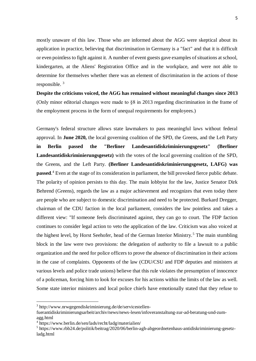mostly unaware of this law. Those who are informed about the AGG were skeptical about its application in practice, believing that discrimination in Germany is a "fact" and that it is difficult or even pointless to fight against it. A number of event guests gave examples of situations at school, kindergarten, at the Aliens' Registration Office and in the workplace, and were not able to determine for themselves whether there was an element of discrimination in the actions of those responsible.  $3$ 

**Despite the criticisms voiced, the AGG has remained without meaningful changes since 2013**  (Only minor editorial changes were made to §8 in 2013 regarding discrimination in the frame of the employment process in the form of unequal requirements for employees.)

Germany's federal structure allows state lawmakers to pass meaningful laws without federal approval. In **June 2020,** the local governing coalition of the SPD, the Greens, and the Left Party **in Berlin passed the "Berliner Landesantidiskriminierungsgesetz" (Berliner Landesantidiskriminierungsgesetz)** with the votes of the local governing coalition of the SPD, the Greens, and the Left Party. **(Berliner Landesantidiskriminierungsgesetz, LAFG) was passed**. <sup>4</sup> Even at the stage of its consideration in parliament, the bill provoked fierce public debate. The polarity of opinion persists to this day. The main lobbyist for the law, Justice Senator Dirk Behrend (Greens), regards the law as a major achievement and recognizes that even today there are people who are subject to domestic discrimination and need to be protected. Burkard Dregger, chairman of the CDU faction in the local parliament, considers the law pointless and takes a different view: "If someone feels discriminated against, they can go to court. The FDP faction continues to consider legal action to veto the application of the law. Criticism was also voiced at the highest level, by Horst Seehofer, head of the German Interior Ministry.<sup>5</sup> The main stumbling block in the law were two provisions: the delegation of authority to file a lawsuit to a public organization and the need for police officers to prove the absence of discrimination in their actions in the case of complaints. Opponents of the law (CDU/CSU and FDP deputies and ministers at various levels and police trade unions) believe that this rule violates the presumption of innocence of a policeman, forcing him to look for excuses for his actions within the limits of the law as well. Some state interior ministers and local police chiefs have emotionally stated that they refuse to

<sup>3</sup> http://www.nrwgegendiskriminierung.de/de/servicestellen-

fuerantidiskriminierungsarbeit/archiv/news/news-lesen/infoveranstaltung-zur-ad-beratung-und-zumagg.html

<sup>4</sup> https://www.berlin.de/sen/lads/recht/ladg/materialien/

<sup>5</sup> https://www.rbb24.de/politik/beitrag/2020/06/berlin-agh-abgeordnetenhaus-antidiskriminierung-gesetzladg.html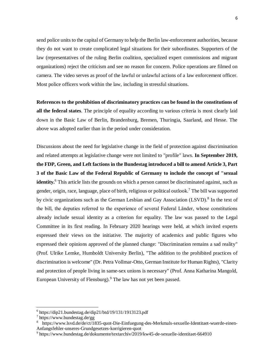send police units to the capital of Germany to help the Berlin law-enforcement authorities, because they do not want to create complicated legal situations for their subordinates. Supporters of the law (representatives of the ruling Berlin coalition, specialized expert commissions and migrant organizations) reject the criticism and see no reason for concern. Police operations are filmed on camera. The video serves as proof of the lawful or unlawful actions of a law enforcement officer. Most police officers work within the law, including in stressful situations.

**References to the prohibition of discriminatory practices can be found in the constitutions of all the federal states**. The principle of equality according to various criteria is most clearly laid down in the Basic Law of Berlin, Brandenburg, Bremen, Thuringia, Saarland, and Hesse. The above was adopted earlier than in the period under consideration.

Discussions about the need for legislative change in the field of protection against discrimination and related attempts at legislative change were not limited to "profile" laws. **In September 2019, the FDP, Green, and Left factions in the Bundestag introduced a bill to amend Article 3, Part 3 of the Basic Law of the Federal Republic of Germany to include the concept of "sexual identity.**<sup>6</sup> This article lists the grounds on which a person cannot be discriminated against, such as gender, origin, race, language, place of birth, religious or political outlook.<sup>7</sup> The bill was supported by civic organizations such as the German Lesbian and Gay Association (LSVD).<sup>8</sup> In the text of the bill, the deputies referred to the experience of several Federal Länder, whose constitutions already include sexual identity as a criterion for equality. The law was passed to the Legal Committee in its first reading. In February 2020 hearings were held, at which invited experts expressed their views on the initiative. The majority of academics and public figures who expressed their opinions approved of the planned change: "Discrimination remains a sad reality" (Prof. Ulrike Lemke, Humboldt University Berlin), "The addition to the prohibited practices of discrimination is welcome" (Dr. Petra Vollmar-Otto, German Institute for Human Rights), "Clarity and protection of people living in same-sex unions is necessary" (Prof. Anna Katharina Mangold, European University of Flensburg).<sup>9</sup> The law has not yet been passed.

 $6$  https://dip21.bundestag.de/dip21/btd/19/131/1913123.pdf

<sup>7</sup> https://www.bundestag.de/gg

<sup>&</sup>lt;sup>8</sup> https://www.lsvd.de/de/ct/1835-quot-Die-Einfuegung-des-Merkmals-sexuelle-Identitaet-wuerde-einen-Anfangsfehler-unseres-Grundgesetzes-korrigieren-quot

<sup>9</sup> https://www.bundestag.de/dokumente/textarchiv/2019/kw45-de-sexuelle-identitaet-664910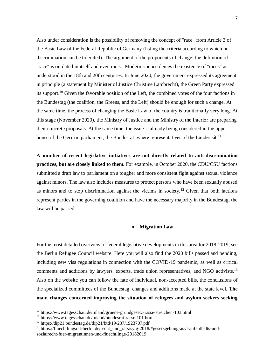Also under consideration is the possibility of removing the concept of "race" from Article 3 of the Basic Law of the Federal Republic of Germany (listing the criteria according to which no discrimination can be tolerated). The argument of the proponents of change: the definition of "race" is outdated in itself and even racist. Modern science denies the existence of "races" as understood in the 18th and 20th centuries. In June 2020, the government expressed its agreement in principle (a statement by Minister of Justice Christine Lambrecht), the Green Party expressed its support.<sup>10</sup> Given the favorable position of the Left, the combined votes of the four factions in the Bundestag (the coalition, the Greens, and the Left) should be enough for such a change. At the same time, the process of changing the Basic Law of the country is traditionally very long. At this stage (November 2020), the Ministry of Justice and the Ministry of the Interior are preparing their concrete proposals. At the same time, the issue is already being considered in the upper house of the German parliament, the Bundesrat, where representatives of the Länder sit.<sup>11</sup>

**A number of recent legislative initiatives are not directly related to anti-discrimination practices, but are closely linked to them.** For example, in October 2020, the CDU/CSU factions submitted a draft law to parliament on a tougher and more consistent fight against sexual violence against minors. The law also includes measures to protect persons who have been sexually abused as minors and to stop discrimination against the victims in society.<sup>12</sup> Given that both factions represent parties in the governing coalition and have the necessary majority in the Bundestag, the law will be passed.

#### **Migration Law**

For the most detailed overview of federal legislative developments in this area for 2018-2019, see the Berlin Refugee Council website. Here you will also find the 2020 bills passed and pending, including new visa regulations in connection with the COVID-19 pandemic, as well as critical comments and additions by lawyers, experts, trade union representatives, and NGO activists.<sup>13</sup> Also on the website you can follow the fate of individual, non-accepted bills, the conclusions of the specialized committees of the Bundestag, changes and additions made at the state level. **The main changes concerned improving the situation of refugees and asylum seekers seeking** 

<sup>&</sup>lt;sup>10</sup> https://www.tagesschau.de/inland/gruene-grundgesetz-rasse-streichen-103.html

<sup>&</sup>lt;sup>11</sup> https://www.tagesschau.de/inland/bundesrat-rasse-101.html

<sup>12</sup> https://dip21.bundestag.de/dip21/btd/19/237/1923707.pdf

<sup>&</sup>lt;sup>13</sup> https://fluechtlingsrat-berlin.de/recht\_und\_rat/asylg-2018/#gesetzgebung-asyl-aufenthalts-undsozialrecht-fuer-migrantinnen-und-fluechtlinge-20182019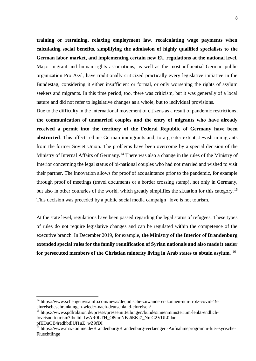**training or retraining, relaxing employment law, recalculating wage payments when calculating social benefits, simplifying the admission of highly qualified specialists to the German labor market, and implementing certain new EU regulations at the national level.**  Major migrant and human rights associations, as well as the most influential German public organization Pro Asyl, have traditionally criticized practically every legislative initiative in the Bundestag, considering it either insufficient or formal, or only worsening the rights of asylum seekers and migrants. In this time period, too, there was criticism, but it was generally of a local nature and did not refer to legislative changes as a whole, but to individual provisions.

Due to the difficulty in the international movement of citizens as a result of pandemic restrictions**, the communication of unmarried couples and the entry of migrants who have already received a permit into the territory of the Federal Republic of Germany have been obstructed**. This affects ethnic German immigrants and, to a greater extent, Jewish immigrants from the former Soviet Union. The problems have been overcome by a special decision of the Ministry of Internal Affairs of Germany.<sup>14</sup> There was also a change in the rules of the Ministry of Interior concerning the legal status of bi-national couples who had not married and wished to visit their partner. The innovation allows for proof of acquaintance prior to the pandemic, for example through proof of meetings (travel documents or a border crossing stamp), not only in Germany, but also in other countries of the world, which greatly simplifies the situation for this category.<sup>15</sup> This decision was preceded by a public social media campaign "love is not tourism.

At the state level, regulations have been passed regarding the legal status of refugees. These types of rules do not require legislative changes and can be regulated within the competence of the executive branch. In December 2019, for example, **the Ministry of the Interior of Brandenburg extended special rules for the family reunification of Syrian nationals and also made it easier for persecuted members of the Christian minority living in Arab states to obtain asylum.** <sup>16</sup>

<sup>14</sup> https://www.schengenvisainfo.com/news/de/judische-zuwanderer-konnen-nun-trotz-covid-19 einreisebeschrankungen-wieder-nach-deutschland-einreisen/

<sup>&</sup>lt;sup>15</sup> https://www.spdfraktion.de/presse/pressemitteilungen/bundesinnenministerium-lenkt-endlichloveisnottourism?fbclid=IwAR0LTH\_O8umNBs6EKj7\_NmG2VUL0dnn-

pfEDuQB4redhbdlUf1uZ\_wZ9fDI

<sup>&</sup>lt;sup>16</sup> https://www.maz-online.de/Brandenburg/Brandenburg-verlaengert-Aufnahmeprogramm-fuer-syrische-Fluechtlinge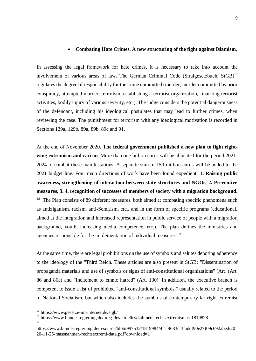#### **Combating Hate Crimes. A new structuring of the fight against Islamism.**

In assessing the legal framework for hate crimes, it is necessary to take into account the involvement of various areas of law. The German Criminal Code (Strafgesetzbuch, StGB)<sup>17</sup> regulates the degree of responsibility for the crime committed (murder, murder committed by prior conspiracy, attempted murder, terrorism, establishing a terrorist organization, financing terrorist activities, bodily injury of various severity, etc.). The judge considers the potential dangerousness of the defendant, including his ideological postulates that may lead to further crimes, when reviewing the case. The punishment for terrorism with any ideological motivation is recorded in Sections 129a, 129b, 89a, 89b, 89c and 91.

At the end of November 2020. **The federal government published a new plan to fight rightwing extremism and racism**. More than one billion euros will be allocated for the period 2021- 2024 to combat these manifestations. A separate sum of 150 million euros will be added to the 2021 budget line. Four main directions of work have been found expedient: **1. Raising public awareness, strengthening of interaction between state structures and NGOs, 2. Preventive measures, 3. 4. recognition of successes of members of society with a migration background.**  <sup>18</sup> The Plan consists of 89 different measures, both aimed at combating specific phenomena such as antiziganism, racism, anti-Semitism, etc., and in the form of specific programs (educational, aimed at the integration and increased representation in public service of people with a migration background, youth, increasing media competence, etc.). The plan defines the ministries and agencies responsible for the implementation of individual measures.<sup>19</sup>

At the same time, there are legal prohibitions on the use of symbols and salutes denoting adherence to the ideology of the "Third Reich. These articles are also present in StGB: "Dissemination of propaganda materials and use of symbols or signs of anti-constitutional organizations" (Art. (Art. 86 and 86a) and "Incitement to ethnic hatred" (Art. 130). In addition, the executive branch is competent to issue a list of prohibited "anti-constitutional symbols," usually related to the period of National Socialism, but which also includes the symbols of contemporary far-right extremist

 $17$  https://www.gesetze-im-internet.de/stgb/

<sup>18</sup> https://www.bundesregierung.de/breg-de/aktuelles/kabinett-rechtsextremismus-1819828 19

https://www.bundesregierung.de/resource/blob/997532/1819984/4f1f9683cf3faddf90e27f09c692abed/20 20-11-25-massnahmen-rechtsextremi-data.pdf?download=1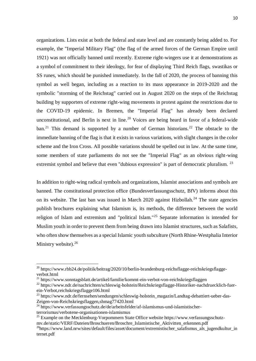organizations. Lists exist at both the federal and state level and are constantly being added to. For example, the "Imperial Military Flag" (the flag of the armed forces of the German Empire until 1921) was not officially banned until recently. Extreme right-wingers use it at demonstrations as a symbol of commitment to their ideology, for fear of displaying Third Reich flags, swastikas or SS runes, which should be punished immediately. In the fall of 2020, the process of banning this symbol as well began, including as a reaction to its mass appearance in 2019-2020 and the symbolic "storming of the Reichstag" carried out in August 2020 on the steps of the Reichstag building by supporters of extreme right-wing movements in protest against the restrictions due to the COVID-19 epidemic. In Bremen, the "Imperial Flag" has already been declared unconstitutional, and Berlin is next in line.<sup>20</sup> Voices are being heard in favor of a federal-wide ban.<sup>21</sup> This demand is supported by a number of German historians.<sup>22</sup> The obstacle to the immediate banning of the flag is that it exists in various variations, with slight changes in the color scheme and the Iron Cross. All possible variations should be spelled out in law. At the same time, some members of state parliaments do not see the "Imperial Flag" as an obvious right-wing extremist symbol and believe that even "dubious expression" is part of democratic pluralism. <sup>23</sup>

In addition to right-wing radical symbols and organizations, Islamist associations and symbols are banned. The constitutional protection office (Bundesverfassungsschutz, BfV) informs about this on its website. The last ban was issued in March 2020 against Hizbollah.<sup>24</sup> The state agencies publish brochures explaining what Islamism is, its methods, the difference between the world religion of Islam and extremism and "political Islam."<sup>25</sup> Separate information is intended for Muslim youth in order to prevent them from being drawn into Islamist structures, such as Salafists, who often show themselves as a special Islamic youth subculture (North Rhine-Westphalia Interior Ministry website).<sup>26</sup>

 $\overline{a}$ 

<sup>&</sup>lt;sup>20</sup> https://www.rbb24.de/politik/beitrag/2020/10/berlin-brandenburg-reichsflagge-reichskriegsflaggeverbot.html

<sup>21</sup> https://www.sonntagsblatt.de/artikel/familie/kommt-ein-verbot-von-reichskriegsflaggen

<sup>&</sup>lt;sup>22</sup> https://www.ndr.de/nachrichten/schleswig-holstein/Reichskriegsflagge-Historiker-nachdruecklich-fuerein-Verbot,reichskriegsflagge106.html

<sup>&</sup>lt;sup>23</sup> https://www.ndr.de/fernsehen/sendungen/schleswig-holstein\_magazin/Landtag-debattiert-ueber-das-Zeigen-von-Reichskriegsflaggen,shmag77420.html

<sup>&</sup>lt;sup>24</sup> https://www.verfassungsschutz.de/de/arbeitsfelder/af-islamismus-und-islamistischerterrorismus/verbotene-organisationen-islamismus

 $^{25}$  Example on the Mecklenburg-Vorpommern State Office website https://www.verfassungsschutz-

mv.de/static/VERF/Dateien/Broschueren/Broschre\_Islamistische\_Aktivitten\_erkennen.pdf

 $^{26}$ https://www.land.nrw/sites/default/files/asset/document/extremistischer\_salafismus\_als\_jugendkultur\_in ternet.pdf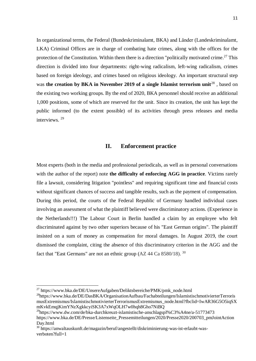In organizational terms, the Federal (Bundeskriminalamt, BKA) and Länder (Landeskriminalamt, LKA) Criminal Offices are in charge of combating hate crimes, along with the offices for the protection of the Constitution. Within them there is a direction "politically motivated crime.<sup>27</sup> This direction is divided into four departments: right-wing radicalism, left-wing radicalism, crimes based on foreign ideology, and crimes based on religious ideology. An important structural step was **the creation by BKA in November 2019 of a single Islamist terrorism unit**<sup>28</sup>, based on the existing two working groups. By the end of 2020, BKA personnel should receive an additional 1,000 positions, some of which are reserved for the unit. Since its creation, the unit has kept the public informed (to the extent possible) of its activities through press releases and media interviews. <sup>29</sup>

#### **II. Enforcement practice**

Most experts (both in the media and professional periodicals, as well as in personal conversations with the author of the report) note **the difficulty of enforcing AGG in practice**. Victims rarely file a lawsuit, considering litigation "pointless" and requiring significant time and financial costs without significant chances of success and tangible results, such as the payment of compensation. During this period, the courts of the Federal Republic of Germany handled individual cases involving an assessment of what the plaintiff believed were discriminatory actions. (Experience in the Netherlands!!!) The Labour Court in Berlin handled a claim by an employee who felt discriminated against by two other superiors because of his "East German origins". The plaintiff insisted on a sum of money as compensation for moral damages. In August 2019, the court dismissed the complaint, citing the absence of this discriminatory criterion in the AGG and the fact that "East Germans" are not an ethnic group  $(AZ 44 Ca 8580/18)$ . <sup>30</sup>

<sup>&</sup>lt;sup>27</sup> https://www.bka.de/DE/UnsereAufgaben/Deliktsbereiche/PMK/pmk\_node.html

<sup>28</sup>https://www.bka.de/DE/DasBKA/OrganisationAufbau/Fachabteilungen/IslamistischmotivierterTerroris musExtremismus/IslamistischmotivierterTerrorismusExtremismus\_node.html?fbclid=IwAR36G5O5iqSX mKvkEmqjKimYNzXgkkcyiSK3A7xWqOLH7w0hqh8Gho7NiBQ

 $^{29}$ https://www.dw.com/de/bka-durchkreuzt-islamistische-anschlagspl%C3%A4ne/a-51773473

https://www.bka.de/DE/Presse/Listenseite\_Pressemitteilungen/2020/Presse2020/200703\_pmJointAction Day.html

<sup>30</sup> https://anwaltauskunft.de/magazin/beruf/angestellt/diskriminierung-was-ist-erlaubt-wasverboten?full=1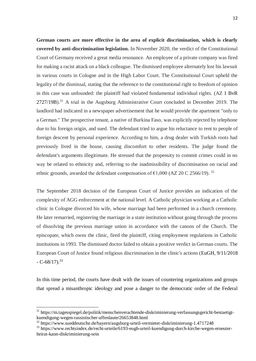**German courts are more effective in the area of explicit discrimination, which is clearly covered by anti-discrimination legislation.** In November 2020, the verdict of the Constitutional Court of Germany received a great media resonance. An employee of a private company was fired for making a racist attack on a black colleague. The dismissed employee alternately lost his lawsuit in various courts in Cologne and in the High Labor Court. The Constitutional Court upheld the legality of the dismissal, stating that the reference to the constitutional right to freedom of opinion in this case was unfounded: the plaintiff had violated fundamental individual rights. (AZ 1 BvR  $2727/19B$ ).<sup>31</sup> A trial in the Augsburg Administrative Court concluded in December 2019. The landlord had indicated in a newspaper advertisement that he would provide the apartment "only to a German." The prospective tenant, a native of Burkina Faso, was explicitly rejected by telephone due to his foreign origin, and sued. The defendant tried to argue his reluctance to rent to people of foreign descent by personal experience. According to him, a drug dealer with Turkish roots had previously lived in the house, causing discomfort to other residents. The judge found the defendant's arguments illegitimate. He stressed that the propensity to commit crimes could in no way be related to ethnicity and, referring to the inadmissibility of discrimination on racial and ethnic grounds, awarded the defendant compensation of  $\epsilon$ 1,000 (AZ 20 C 2566/19).<sup>32</sup>

The September 2018 decision of the European Court of Justice provides an indication of the complexity of AGG enforcement at the national level. A Catholic physician working at a Catholic clinic in Cologne divorced his wife, whose marriage had been performed in a church ceremony. He later remarried, registering the marriage in a state institution without going through the process of dissolving the previous marriage union in accordance with the canons of the Church. The episcopate, which owns the clinic, fired the plaintiff, citing employment regulations in Catholic institutions in 1993. The dismissed doctor failed to obtain a positive verdict in German courts. The European Court of Justice found religious discrimination in the clinic's actions (EuGH, 9/11/2018  $-C-68/17$ <sup>33</sup>

In this time period, the courts have dealt with the issues of countering organizations and groups that spread a misanthropic ideology and pose a danger to the democratic order of the Federal

<sup>31</sup> https://m.tagesspiegel.de/politik/menschenverachtende-diskriminierung-verfassungsgericht-bestaetigtkuendigung-wegen-rassistischer-affenlaute/26653848.html

 $32$  https://www.sueddeutsche.de/bayern/augsburg-urteil-vermieter-diskriminierung-1.4717248

<sup>&</sup>lt;sup>33</sup> https://www.rechtsindex.de/recht-urteile/6193-eugh-urteil-kuendigung-durch-kirche-wegen-erneuterheirat-kann-diskriminierung-sein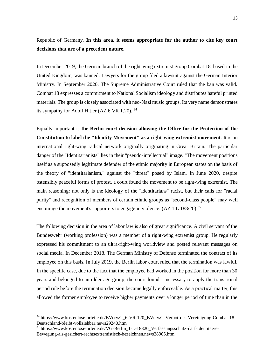Republic of Germany. **In this area, it seems appropriate for the author to cite key court decisions that are of a precedent nature.** 

In December 2019, the German branch of the right-wing extremist group Combat 18, based in the United Kingdom, was banned. Lawyers for the group filed a lawsuit against the German Interior Ministry. In September 2020. The Supreme Administrative Court ruled that the ban was valid. Combat 18 expresses a commitment to National Socialism ideology and distributes hateful printed materials. The group **is** closely associated with neo-Nazi music groups. Its very name demonstrates its sympathy for Adolf Hitler (AZ 6 VR 1.20)**.**  34

Equally important is **the Berlin court decision allowing the Office for the Protection of the Constitution to label the "Identity Movement" as a right-wing extremist movement**. It is an international right-wing radical network originally originating in Great Britain. The particular danger of the "Identitarianists" lies in their "pseudo-intellectual" image. "The movement positions itself as a supposedly legitimate defender of the ethnic majority in European states on the basis of the theory of "identitarianism," against the "threat" posed by Islam. In June 2020, despite ostensibly peaceful forms of protest, a court found the movement to be right-wing extremist. The main reasoning: not only is the ideology of the "identitarians" racist, but their calls for "racial purity" and recognition of members of certain ethnic groups as "second-class people" may well encourage the movement's supporters to engage in violence.  $(AZ 1 L 188/20)^{35}$ 

The following decision in the area of labor law is also of great significance. A civil servant of the Bundeswehr (working profession) was a member of a right-wing extremist group. He regularly expressed his commitment to an ultra-right-wing worldview and posted relevant messages on social media. In December 2018. The German Ministry of Defense terminated the contract of its employee on this basis. In July 2019, the Berlin labor court ruled that the termination was lawful. In the specific case, due to the fact that the employee had worked in the position for more than 30 years and belonged to an older age group, the court found it necessary to apply the transitional period rule before the termination decision became legally enforceable. As a practical matter, this allowed the former employee to receive higher payments over a longer period of time than in the

<sup>&</sup>lt;sup>34</sup> https://www.kostenlose-urteile.de/BVerwG 6-VR-120 BVerwG-Verbot-der-Vereinigung-Combat-18-Deutschland-bleibt-vollziehbar.news29240.htm

<sup>35</sup> https://www.kostenlose-urteile.de/VG-Berlin\_1-L-18820\_Verfassungsschutz-darf-Identitaere-Bewegung-als-gesichert-rechtsextremistisch-bezeichnen.news28905.htm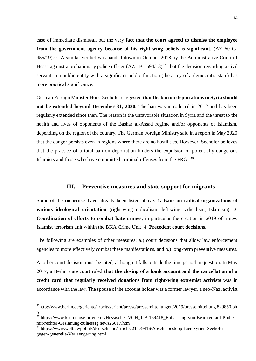case of immediate dismissal, but the very **fact that the court agreed to dismiss the employee from the government agency because of his right-wing beliefs is significant.** (AZ 60 Ca  $455/19$ .<sup>36</sup> A similar verdict was handed down in October 2018 by the Administrative Court of Hesse against a probationary police officer  $(AZ I B 1594/18)^{37}$ , but the decision regarding a civil servant in a public entity with a significant public function (the army of a democratic state) has more practical significance.

German Foreign Minister Horst Seehofer suggested **that the ban on deportations to Syria should not be extended beyond December 31, 2020.** The ban was introduced in 2012 and has been regularly extended since then. The reason is the unfavorable situation in Syria and the threat to the health and lives of opponents of the Bashar al-Assad regime and/or opponents of Islamism, depending on the region of the country. The German Foreign Ministry said in a report in May 2020 that the danger persists even in regions where there are no hostilities. However, Seehofer believes that the practice of a total ban on deportation hinders the expulsion of potentially dangerous Islamists and those who have committed criminal offenses from the FRG. <sup>38</sup>

#### **III. Preventive measures and state support for migrants**

Some of the **measures** have already been listed above: **1. Bans on radical organizations of various ideological orientation** (right-wing radicalism, left-wing radicalism, Islamism). 3. **Coordination of efforts to combat hate crimes**, in particular the creation in 2019 of a new Islamist terrorism unit within the BKA Crime Unit. 4. **Precedent court decisions**.

The following are examples of other measures: a.) court decisions that allow law enforcement agencies to more effectively combat these manifestations, and b.) long-term preventive measures.

Another court decision must be cited, although it falls outside the time period in question. In May 2017, a Berlin state court ruled **that the closing of a bank account and the cancellation of a credit card that regularly received donations from right-wing extremist activists** was in accordance with the law. The spouse of the account holder was a former lawyer, a neo-Nazi activist

<sup>36</sup>http://www.berlin.de/gerichte/arbeitsgericht/presse/pressemitteilungen/2019/pressemitteilung.829850.ph p

<sup>&</sup>lt;sup>37</sup> https://www.kostenlose-urteile.de/Hessischer-VGH\_1-B-159418\_Entlassung-von-Beamten-auf-Probemit-rechter-Gesinnung-zulaessig.news26617.htm

<sup>38</sup> https://www.welt.de/politik/deutschland/article221179416/Abschiebestopp-fuer-Syrien-Seehofergegen-generelle-Verlaengerung.html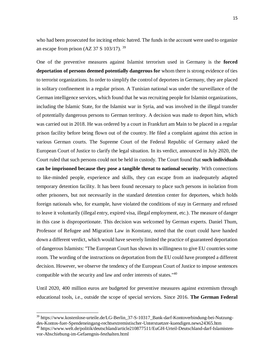who had been prosecuted for inciting ethnic hatred. The funds in the account were used to organize an escape from prison (AZ 37 S  $103/17$ ). <sup>39</sup>

One of the preventive measures against Islamist terrorism used in Germany is the **forced deportation of persons deemed potentially dangerous for** whom there is strong evidence of ties to terrorist organizations. In order to simplify the control of deportees in Germany, they are placed in solitary confinement in a regular prison. A Tunisian national was under the surveillance of the German intelligence services, which found that he was recruiting people for Islamist organizations, including the Islamic State, for the Islamist war in Syria, and was involved in the illegal transfer of potentially dangerous persons to German territory. A decision was made to deport him, which was carried out in 2018. He was ordered by a court in Frankfurt am Main to be placed in a regular prison facility before being flown out of the country. He filed a complaint against this action in various German courts. The Supreme Court of the Federal Republic of Germany asked the European Court of Justice to clarify the legal situation. In its verdict, announced in July 2020, the Court ruled that such persons could not be held in custody. The Court found that **such individuals can be imprisoned because they pose a tangible threat to national security**. With connections to like-minded people, experience and skills, they can escape from an inadequately adapted temporary detention facility. It has been found necessary to place such persons in isolation from other prisoners, but not necessarily in the standard detention center for deportees, which holds foreign nationals who, for example, have violated the conditions of stay in Germany and refused to leave it voluntarily (illegal entry, expired visa, illegal employment, etc.). The measure of danger in this case is disproportionate. This decision was welcomed by German experts. Daniel Thum, Professor of Refugee and Migration Law in Konstanz, noted that the court could have handed down a different verdict, which would have severely limited the practice of guaranteed deportation of dangerous Islamists: "The European Court has shown its willingness to give EU countries some room. The wording of the instructions on deportation from the EU could have prompted a different decision. However, we observe the tendency of the European Court of Justice to impose sentences compatible with the security and law and order interests of states."<sup>40</sup>

Until 2020, 400 million euros are budgeted for preventive measures against extremism through educational tools, i.e., outside the scope of special services. Since 2016. **The German Federal** 

<sup>&</sup>lt;sup>39</sup> https://www.kostenlose-urteile.de/LG-Berlin\_37-S-10317\_Bank-darf-Kontoverbindung-bei-Nutzungdes-Kontos-fuer-Spendeneingang-rechtsextremistischer-Unterstuetzer-kuendigen.news24365.htm <sup>40</sup> https://www.welt.de/politik/deutschland/article210877511/EuGH-Urteil-Deutschland-darf-Islamistenvor-Abschiebung-im-Gefaengnis-festhalten.html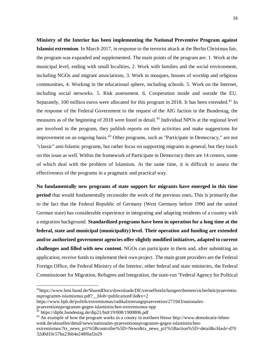**Ministry of the Interior has been implementing the National Preventive Program against Islamist extremism**. In March 2017, in response to the terrorist attack at the Berlin Christmas fair, the program was expanded and supplemented. The main points of the program are: 1. Work at the municipal level, ending with small localities, 2. Work with families and the social environment, including NGOs and migrant associations, 3. Work in mosques, houses of worship and religious communities, 4. Working in the educational sphere, including schools. 5. Work on the Internet, including social networks. 5. Risk assessment. 6. Cooperation inside and outside the EU. Separately, 100 million euros were allocated for this program in 2018. It has been extended.<sup>41</sup> In the response of the Federal Government to the request of the AfG faction in the Bundestag, the measures as of the beginning of 2018 were listed in detail.<sup>42</sup> Individual NPOs at the regional level are involved in the program, they publish reports on their activities and make suggestions for improvement on an ongoing basis.<sup>43</sup> Other programs, such as "Participate in Democracy," are not "classic" anti-Islamic programs, but rather focus on supporting migrants in general, but they touch on this issue as well. Within the framework of Participate in Democracy there are 14 centers, some of which deal with the problem of Islamism. At the same time, it is difficult to assess the effectiveness of the programs in a pragmatic and practical way.

**No fundamentally new programs of state support for migrants have emerged in this time period** that would fundamentally reconsider the work of the previous ones**.** This is primarily due to the fact that the Federal Republic of Germany (West Germany before 1990 and the united German state) has considerable experience in integrating and adapting residents of a country with a migration background. **Standardized programs have been in operation for a long time at the federal, state and municipal (municipality) level. Their operation and funding are extended and/or authorized government agencies offer slightly modified initiatives, adapted to current challenges and filled with new content.** NGOs can participate in them and, after submitting an application, receive funds to implement their own project. The main grant providers are the Federal Foreign Office, the Federal Ministry of the Interior, other federal and state ministries, the Federal Commissioner for Migration, Refugees and Integration, the state-run "Federal Agency for Political

<sup>41</sup>https://www.bmi.bund.de/SharedDocs/downloads/DE/veroeffentlichungen/themen/sicherheit/praeventio nsprogramm-islamismus.pdf? blob=publicationFile&v=2

https://www.bpb.de/politik/extremismus/radikalisierungspraevention/271943/nationales-

praeventionsprogramm-gegen-islamistischen-extremismus-npp

 $42$  https://dippt.bundestag.de/dip21/btd/19/008/1900806.pdf

<sup>&</sup>lt;sup>43</sup> An example of how the program works in a county in northern Hesse http://www.demokratie-lebenwmk.de/aktuelles/detail/news/nationales-praeventionsprogramm-gegen-islamistischenextremismus/?tx\_news\_pi1%5Bcontroller%5D=News&tx\_news\_pi1%5Baction%5D=detail&cHash=d70

<sup>32</sup>d0d10c57ba23bb4e248f0af2e29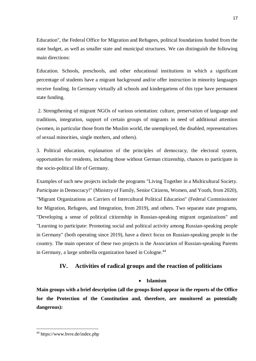Education", the Federal Office for Migration and Refugees, political foundations funded from the state budget, as well as smaller state and municipal structures. We can distinguish the following main directions:

Education. Schools, preschools, and other educational institutions in which a significant percentage of students have a migrant background and/or offer instruction in minority languages receive funding. In Germany virtually all schools and kindergartens of this type have permanent state funding.

2. Strengthening of migrant NGOs of various orientation: culture, preservation of language and traditions, integration, support of certain groups of migrants in need of additional attention (women, in particular those from the Muslim world, the unemployed, the disabled, representatives of sexual minorities, single mothers, and others).

3. Political education, explanation of the principles of democracy, the electoral system, opportunities for residents, including those without German citizenship, chances to participate in the socio-political life of Germany.

Examples of such new projects include the programs "Living Together in a Multicultural Society. Participate in Democracy!" (Ministry of Family, Senior Citizens, Women, and Youth, from 2020), "Migrant Organizations as Carriers of Intercultural Political Education" (Federal Commissioner for Migration, Refugees, and Integration, from 2019), and others. Two separate state programs, "Developing a sense of political citizenship in Russian-speaking migrant organizations" and "Learning to participate: Promoting social and political activity among Russian-speaking people in Germany" (both operating since 2019), have a direct focus on Russian-speaking people in the country. The main operator of these two projects is the Association of Russian-speaking Parents in Germany, a large umbrella organization based in Cologne.<sup>44</sup>

# **IV. Activities of radical groups and the reaction of politicians**

# **Islamism**

**Main groups with a brief description (all the groups listed appear in the reports of the Office for the Protection of the Constitution and, therefore, are monitored as potentially dangerous):**

<sup>44</sup> https://www.bvre.de/index.php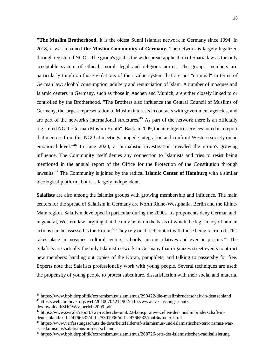**"The Muslim Brotherhood.** It is the oldest Sunni Islamist network in Germany since 1994. In 2018, it was renamed **the Muslim Community of Germany.** The network is largely legalized through registered NGOs. The group's goal is the widespread application of Sharia law as the only acceptable system of ethical, moral, legal and religious norms. The group's members are particularly tough on those violations of their value system that are not "criminal" in terms of German law: alcohol consumption, adultery and renunciation of Islam. A number of mosques and Islamic centers in Germany, such as those in Aachen and Munich, are either closely linked to or controlled by the Brotherhood. "The Brothers also influence the Central Council of Muslims of Germany, the largest representation of Muslim interests in contacts with government agencies, and are part of the network's international structures.<sup>45</sup> As part of the network there is an officially registered NGO "German Muslim Youth". Back in 2009, the intelligence services noted in a report that mentors from this NGO at meetings "impede integration and confront Western society on an emotional level."<sup>46</sup> In June 2020, a journalistic investigation revealed the group's growing influence. The Community itself denies any connection to Islamists and tries to resist being mentioned in the annual report of the Office for the Protection of the Constitution through lawsuits.<sup>47</sup> The Community is joined by the radical **Islamic Center of Hamburg** with a similar ideological platform, but it is largely independent.

**Salafists** are also among the Islamist groups with growing membership and influence. The main centers for the spread of Salafism in Germany are North Rhine-Westphalia, Berlin and the Rhine-Main region. Salafism developed in particular during the 2000s. Its proponents deny German and, in general, Western law, arguing that the only book on the basis of which the legitimacy of human actions can be assessed is the Koran.<sup>48</sup> They rely on direct contact with those being recruited. This takes place in mosques, cultural centers, schools, among relatives and even in prisons.<sup>49</sup> The Salafists are virtually the only Islamist network in Germany that organizes street events to attract new members: handing out copies of the Koran, pamphlets, and talking to passersby for free. Experts note that Salafists professionally work with young people. Several techniques are used: the propensity of young people to protest subculture, dissatisfaction with their social and material

<sup>45</sup> https://www.bpb.de/politik/extremismus/islamismus/290422/die-muslimbruderschaft-in-deutschland <sup>46</sup>https://web. archive. org/web/20100704214902/http://www. verfassungsschutz.

de/download/SHOW/vsbericht2009.pdf

<sup>47</sup> https://www.swr.de/report/swr-recherche-unit/22-konspirative-zellen-der-muslimbruderschaft-indeutschland/-/id=24766532/did=25301906/nid=24766532/ronf6n/index.html

<sup>48</sup> https://www.verfassungsschutz.de/de/arbeitsfelder/af-islamismus-und-islamistischer-terrorismus/wasist-islamismus/salafismus-in-deutschland

<sup>49</sup> https://www.bpb.de/politik/extremismus/islamismus/268726/orte-der-islamistischen-radikalisierung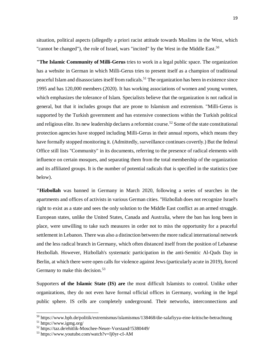situation, political aspects (allegedly a priori racist attitude towards Muslims in the West, which "cannot be changed"), the role of Israel, wars "incited" by the West in the Middle East.<sup>50</sup>

**"The Islamic Community of Milli-Gerus** tries to work in a legal public space. The organization has a website in German in which Milli-Gerus tries to present itself as a champion of traditional peaceful Islam and disassociates itself from radicals.<sup>51</sup> The organization has been in existence since 1995 and has 120,000 members (2020). It has working associations of women and young women, which emphasizes the tolerance of Islam. Specialists believe that the organization is not radical in general, but that it includes groups that are prone to Islamism and extremism. "Milli-Gerus is supported by the Turkish government and has extensive connections within the Turkish political and religious elite. Its new leadership declares a reformist course.<sup>52</sup> Some of the state constitutional protection agencies have stopped including Milli-Gerus in their annual reports, which means they have formally stopped monitoring it. (Admittedly, surveillance continues covertly.) But the federal Office still lists "Community" in its documents, referring to the presence of radical elements with influence on certain mosques, and separating them from the total membership of the organization and its affiliated groups. It is the number of potential radicals that is specified in the statistics (see below).

**"Hizbollah** was banned in Germany in March 2020, following a series of searches in the apartments and offices of activists in various German cities. "Hizbollah does not recognize Israel's right to exist as a state and sees the only solution to the Middle East conflict as an armed struggle. European states, unlike the United States, Canada and Australia, where the ban has long been in place, were unwilling to take such measures in order not to miss the opportunity for a peaceful settlement in Lebanon. There was also a distinction between the more radical international network and the less radical branch in Germany, which often distanced itself from the position of Lebanese Hezbollah. However, Hizbollah's systematic participation in the anti-Semitic Al-Quds Day in Berlin, at which there were open calls for violence against Jews (particularly acute in 2019), forced Germany to make this decision.<sup>53</sup>

Supporters **of the Islamic State (IS) are** the most difficult Islamists to control. Unlike other organizations, they do not even have formal official offices in Germany, working in the legal public sphere. IS cells are completely underground. Their networks, interconnections and

<sup>50</sup> https://www.bpb.de/politik/extremismus/islamismus/138468/die-salafiyya-eine-kritische-betrachtung

 $51 \text{ https://www.igng.org/}$ 

<sup>52</sup> https://taz.de/ehitlik-Moschee-Neuer-Vorstand/!5380449/

<sup>53</sup> https://www.youtube.com/watch?v=Ij0yr-cI-AM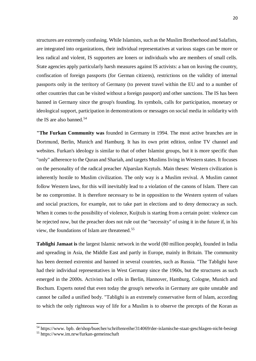structures are extremely confusing. While Islamists, such as the Muslim Brotherhood and Salafists, are integrated into organizations, their individual representatives at various stages can be more or less radical and violent, IS supporters are loners or individuals who are members of small cells. State agencies apply particularly harsh measures against IS activists: a ban on leaving the country, confiscation of foreign passports (for German citizens), restrictions on the validity of internal passports only in the territory of Germany (to prevent travel within the EU and to a number of other countries that can be visited without a foreign passport) and other sanctions. The IS has been banned in Germany since the group's founding. Its symbols, calls for participation, monetary or ideological support, participation in demonstrations or messages on social media in solidarity with the IS are also banned.<sup>54</sup>

**"The Furkan Community was** founded in Germany in 1994. The most active branches are in Dortmund, Berlin, Munich and Hamburg. It has its own print edition, online TV channel and websites. Furkan's ideology is similar to that of other Islamist groups, but it is more specific than "only" adherence to the Quran and Shariah, and targets Muslims living in Western states. It focuses on the personality of the radical preacher Alparslan Kuytuls. Main theses: Western civilization is inherently hostile to Muslim civilization. The only way is a Muslim revival. A Muslim cannot follow Western laws, for this will inevitably lead to a violation of the canons of Islam. There can be no compromise. It is therefore necessary to be in opposition to the Western system of values and social practices, for example, not to take part in elections and to deny democracy as such. When it comes to the possibility of violence, Kuijtuls is starting from a certain point: violence can be rejected now, but the preacher does not rule out the "necessity" of using it in the future if, in his view, the foundations of Islam are threatened.<sup>55</sup>

**Tablighi Jamaat is** the largest Islamic network in the world (80 million people), founded in India and spreading in Asia, the Middle East and partly in Europe, mainly in Britain. The community has been deemed extremist and banned in several countries, such as Russia. "The Tablighi have had their individual representatives in West Germany since the 1960s, but the structures as such emerged in the 2000s. Activists had cells in Berlin, Hannover, Hamburg, Cologne, Munich and Bochum. Experts noted that even today the group's networks in Germany are quite unstable and cannot be called a unified body. "Tablighi is an extremely conservative form of Islam, according to which the only righteous way of life for a Muslim is to observe the precepts of the Koran as

 $\overline{a}$ 

<sup>54</sup> https://www. bpb. de/shop/buecher/schriftenreihe/314069/der-islamische-staat-geschlagen-nicht-besiegt

<sup>55</sup> https://www.im.nrw/furkan-gemeinschaft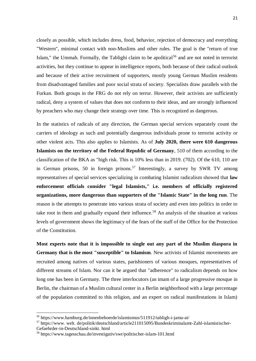closely as possible, which includes dress, food, behavior, rejection of democracy and everything "Western", minimal contact with non-Muslims and other rules. The goal is the "return of true Islam," the Ummah. Formally, the Tablighi claim to be apolitical<sup>56</sup> and are not noted in terrorist activities, but they continue to appear in intelligence reports, both because of their radical outlook and because of their active recruitment of supporters, mostly young German Muslim residents from disadvantaged families and poor social strata of society. Specialists draw parallels with the Furkan. Both groups in the FRG do not rely on terror. However, their activists are sufficiently radical, deny a system of values that does not conform to their ideas, and are strongly influenced by preachers who may change their strategy over time. This is recognized as dangerous.

In the statistics of radicals of any direction, the German special services separately count the carriers of ideology as such and potentially dangerous individuals prone to terrorist activity or other violent acts. This also applies to Islamists. As of **July 2020, there were 610 dangerous Islamists on the territory of the Federal Republic of Germany**, 510 of them according to the classification of the BKA as "high risk. This is 10% less than in 2019. (702). Of the 610, 110 are in German prisons, 50 in foreign prisons.<sup>57</sup> Interestingly, a survey by SWR TV among representatives of special services specializing in combating Islamist radicalism showed that **law enforcement officials consider "legal Islamists," i.e. members of officially registered organizations, more dangerous than supporters of the "Islamic State" in the long run**. The reason is the attempts to penetrate into various strata of society and even into politics in order to take root in them and gradually expand their influence.<sup>58</sup> An analysis of the situation at various levels of government shows the legitimacy of the fears of the staff of the Office for the Protection of the Constitution.

**Most experts note that it is impossible to single out any part of the Muslim diaspora in Germany that is the most "susceptible" to Islamism**. New activists of Islamist movements are recruited among natives of various states, parishioners of various mosques, representatives of different streams of Islam. Nor can it be argued that "adherence" to radicalism depends on how long one has been in Germany. The three interlocutors (an imam of a large progressive mosque in Berlin, the chairman of a Muslim cultural center in a Berlin neighborhood with a large percentage of the population committed to this religion, and an expert on radical manifestations in Islam)

<sup>&</sup>lt;sup>56</sup> https://www.hamburg.de/innenbehoerde/islamismus/511912/tabligh-i-jama-at/

<sup>57</sup> https://www. welt. de/politik/deutschland/article211015095/Bundeskriminalamt-Zahl-islamistischer-Gefaehrder-in-Deutschland-sinkt. html

<sup>58</sup> https://www.tagesschau.de/investigativ/swr/politischer-islam-101.html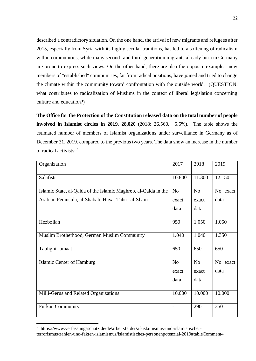described a contradictory situation. On the one hand, the arrival of new migrants and refugees after 2015, especially from Syria with its highly secular traditions, has led to a softening of radicalism within communities, while many second- and third-generation migrants already born in Germany are prone to express such views. On the other hand, there are also the opposite examples: new members of "established" communities, far from radical positions, have joined and tried to change the climate within the community toward confrontation with the outside world. (QUESTION: what contributes to radicalization of Muslims in the context of liberal legislation concerning culture and education?)

**The Office for the Protection of the Constitution released data on the total number of people involved in Islamist circles in 2019. 28,020** (2018: 26,560, +5.5%). The table shows the estimated number of members of Islamist organizations under surveillance in Germany as of December 31, 2019. compared to the previous two years. The data show an increase in the number of radical activists:<sup>59</sup>

| Organization                                                    | 2017                     | 2018           | 2019     |
|-----------------------------------------------------------------|--------------------------|----------------|----------|
| <b>Salafists</b>                                                | 10.800                   | 11.300         | 12.150   |
| Islamic State, al-Qaida of the Islamic Maghreb, al-Qaida in the | N <sub>o</sub>           | N <sub>o</sub> | No exact |
| Arabian Peninsula, al-Shabab, Hayat Tahrir al-Sham              | exact                    | exact          | data     |
|                                                                 | data                     | data           |          |
| Hezbollah                                                       | 950                      | 1.050          | 1.050    |
| Muslim Brotherhood, German Muslim Community                     | 1.040                    | 1.040          | 1.350    |
| Tablighi Jamaat                                                 | 650                      | 650            | 650      |
| <b>Islamic Center of Hamburg</b>                                | N <sub>o</sub>           | No             | No exact |
|                                                                 | exact                    | exact          | data     |
|                                                                 | data                     | data           |          |
| Milli-Gerus and Related Organizations                           | 10.000                   | 10.000         | 10.000   |
| <b>Furkan Community</b>                                         | $\overline{\phantom{a}}$ | 290            | 350      |

<sup>59</sup> https://www.verfassungsschutz.de/de/arbeitsfelder/af-islamismus-und-islamistischerterrorismus/zahlen-und-fakten-islamismus/islamistisches-personenpotenzial-2019#tableComment4

 $\overline{a}$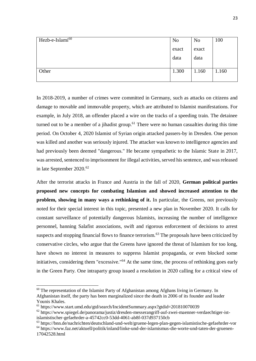| Hezb-e-Islami <sup>60</sup> | N <sub>o</sub> | N <sub>o</sub> | 100   |
|-----------------------------|----------------|----------------|-------|
|                             | exact          | exact          |       |
|                             | data           | data           |       |
|                             |                |                |       |
| Other                       | 1.300          | 1.160          | 1.160 |
|                             |                |                |       |

In 2018-2019, a number of crimes were committed in Germany, such as attacks on citizens and damage to movable and immovable property, which are attributed to Islamist manifestations. For example, in July 2018, an offender placed a wire on the tracks of a speeding train. The detainee turned out to be a member of a jihadist group.<sup>61</sup> There were no human casualties during this time period. On October 4, 2020 Islamist of Syrian origin attacked passers-by in Dresden. One person was killed and another was seriously injured. The attacker was known to intelligence agencies and had previously been deemed "dangerous." He became sympathetic to the Islamic State in 2017, was arrested, sentenced to imprisonment for illegal activities, served his sentence, and was released in late September 2020.<sup>62</sup>

After the terrorist attacks in France and Austria in the fall of 2020, **German political parties proposed new concepts for combating Islamism and showed increased attention to the problem, showing in many ways a rethinking of it.** In particular, the Greens, not previously noted for their special interest in this topic, presented a new plan in November 2020. It calls for constant surveillance of potentially dangerous Islamists, increasing the number of intelligence personnel, banning Salafist associations, swift and rigorous enforcement of decisions to arrest suspects and stopping financial flows to finance terrorism.<sup>63</sup> The proposals have been criticized by conservative circles, who argue that the Greens have ignored the threat of Islamism for too long, have shown no interest in measures to suppress Islamist propaganda, or even blocked some initiatives, considering them "excessive."<sup>64</sup> At the same time, the process of rethinking goes early in the Green Party. One intraparty group issued a resolution in 2020 calling for a critical view of

 $60$  The representation of the Islamist Party of Afghanistan among Afghans living in Germany. In Afghanistan itself, the party has been marginalized since the death in 2006 of its founder and leader Younis Khales.

 $61$  https://www.start.umd.edu/gtd/search/IncidentSummary.aspx?gtdid=201810070039

 $62$  https://www.spiegel.de/panorama/justiz/dresden-messerangriff-auf-zwei-maenner-verdaechtiger-istislamistischer-gefaehrder-a-45742cc0-53dd-4061-ab8f-037d937150cb

<sup>63</sup> https://bnn.de/nachrichten/deutschland-und-welt/gruene-legen-plan-gegen-islamistische-gefaehrder-vor

<sup>64</sup> https://www.faz.net/aktuell/politik/inland/linke-und-der-islamismus-die-worte-und-taten-der-gruenen-17042528.html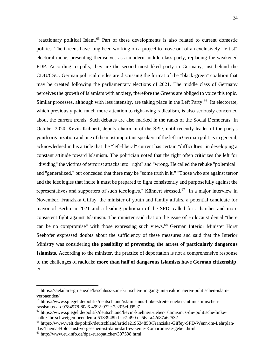"reactionary political Islam.<sup>65</sup> Part of these developments is also related to current domestic politics. The Greens have long been working on a project to move out of an exclusively "leftist" electoral niche, presenting themselves as a modern middle-class party, replacing the weakened FDP. According to polls, they are the second most liked party in Germany, just behind the CDU/CSU. German political circles are discussing the format of the "black-green" coalition that may be created following the parliamentary elections of 2021. The middle class of Germany perceives the growth of Islamism with anxiety, therefore the Greens are obliged to voice this topic. Similar processes, although with less intensity, are taking place in the Left Party.<sup>66</sup> Its electorate, which previously paid much more attention to right-wing radicalism, is also seriously concerned about the current trends. Such debates are also marked in the ranks of the Social Democrats. In October 2020. Kevin Kühnert, deputy chairman of the SPD, until recently leader of the party's youth organization and one of the most important speakers of the left in German politics in general, acknowledged in his article that the "left-liberal" current has certain "difficulties" in developing a constant attitude toward Islamism. The politician noted that the right often criticizes the left for "dividing" the victims of terrorist attacks into "right" and "wrong. He called the rebuke "polemical" and "generalized," but conceded that there may be "some truth in it." "Those who are against terror and the ideologies that incite it must be prepared to fight consistently and purposefully against the representatives and supporters of such ideologies," Kühnert stressed.<sup>67</sup> In a major interview in November, Franziska Giffay, the minister of youth and family affairs, a potential candidate for mayor of Berlin in 2021 and a leading politician of the SPD, called for a harsher and more consistent fight against Islamism. The minister said that on the issue of Holocaust denial "there can be no compromise" with those expressing such views. <sup>68</sup> German Interior Minister Horst Seehofer expressed doubts about the sufficiency of these measures and said that the Interior Ministry was considering **the possibility of preventing the arrest of particularly dangerous Islamists**. According to the minister, the practice of deportation is not a comprehensive response to the challenges of radicals: **more than half of dangerous Islamists have German citizenship**. 69

<sup>65</sup> https://saekulare-gruene.de/beschluss-zum-kritischen-umgang-mit-reaktionaeren-politischen-islamverbaenden/

<sup>66</sup> https://www.spiegel.de/politik/deutschland/islamismus-linke-streiten-ueber-antimuslimischenrassismus-a-d0784978-80a6-4992-972e-7c205cfd95e7

 $67$  https://www.spiegel.de/politik/deutschland/kevin-kuehnert-ueber-islamismus-die-politische-linkesollte-ihr-schweigen-beenden-a-5133948b-bac7-490a-a56a-a42d87a62532

<sup>68</sup> https://www.welt.de/politik/deutschland/article219534858/Franziska-Giffey-SPD-Wenn-im-Lehrplandas-Thema-Holocaust-vorgesehen-ist-dann-darf-es-keine-Kompromisse-geben.html

 $69$  http://www.eu-info.de/dpa-europaticker/307598.html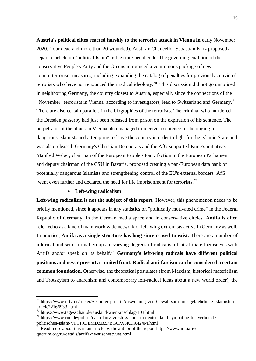**Austria's political elites reacted harshly to the terrorist attack in Vienna in** early November 2020. (four dead and more than 20 wounded). Austrian Chancellor Sebastian Kurz proposed a separate article on "political Islam" in the state penal code. The governing coalition of the conservative People's Party and the Greens introduced a voluminous package of new counterterrorism measures, including expanding the catalog of penalties for previously convicted terrorists who have not renounced their radical ideology.<sup>70</sup> This discussion did not go unnoticed in neighboring Germany, the country closest to Austria, especially since the connections of the "November" terrorists in Vienna, according to investigators, lead to Switzerland and Germany.<sup>71</sup> There are also certain parallels in the biographies of the terrorists. The criminal who murdered the Dresden passerby had just been released from prison on the expiration of his sentence. The perpetrator of the attack in Vienna also managed to receive a sentence for belonging to dangerous Islamists and attempting to leave the country in order to fight for the Islamic State and was also released. Germany's Christian Democrats and the AfG supported Kurtz's initiative. Manfred Weber, chairman of the European People's Party faction in the European Parliament and deputy chairman of the CSU in Bavaria, proposed creating a pan-European data bank of potentially dangerous Islamists and strengthening control of the EU's external borders. AfG went even further and declared the need for life imprisonment for terrorists.<sup>72</sup>

#### **Left-wing radicalism**

Left-wing radicalism is not the subject of this report. However, this phenomenon needs to be briefly mentioned, since it appears in any statistics on "politically motivated crime" in the Federal Republic of Germany. In the German media space and in conservative circles, **Antifa is** often referred to as a kind of main worldwide network of left-wing extremists active in Germany as well. In practice, **Antifa as a single structure has long since ceased to exist.** There are a number of informal and semi-formal groups of varying degrees of radicalism that affiliate themselves with Antifa and/or speak on its behalf.<sup>73</sup> Germany's left-wing radicals have different political **positions and never present a "united front. Radical anti-fascism can be considered a certain common foundation**. Otherwise, the theoretical postulates (from Marxism, historical materialism and Trotskyism to anarchism and contemporary left-radical ideas about a new world order), the

<sup>70</sup> https://www.n-tv.de/ticker/Seehofer-prueft-Ausweitung-von-Gewahrsam-fuer-gefaehrliche-Islamistenarticle22166933.html

 $^{71}$  https://www.tagesschau.de/ausland/wien-anschlag-103.html

 $^{72}$  https://www.rnd.de/politik/nach-kurz-vorstoss-auch-in-deutschland-sympathie-fur-verbot-des-

politischen-islam-VFTFJDEMDZBZ7BG6PX5KDX424M.html

 $\frac{1}{73}$  Read more about this in an article by the author of the report https://www.initiative-

quorum.org/ru/details/antifa-ne-suschestvuet.html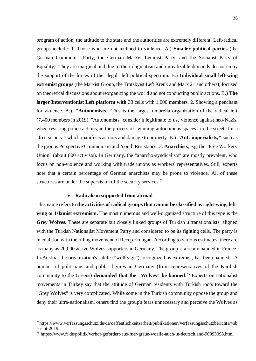program of action, the attitude to the state and the authorities are extremely different. Left-radical groups include: 1. Those who are not inclined to violence. A.) **Smaller political parties** (the German Communist Party, the German Marxist-Leninist Party, and the Socialist Party of Equality). They are marginal and due to their dogmatism and unrealizable demands do not enjoy the support of the forces of the "legal" left political spectrum. B.) **Individual small left-wing extremist groups** (the Marxist Group, the Trotskyist Left Krenk and Marx 21 and others), focused on theoretical discussions about reorganizing the world and not conducting public actions. B**.) The larger Interventionist Left platform with** 33 cells with 1,000 members. 2. Showing a penchant for violence. А.). **"Autonomists**." This is the largest umbrella organization of the radical left (7,400 members in 2019). "Autonomists" consider it legitimate to use violence against neo-Nazis, when resisting police actions, in the process of "winning autonomous spaces" in the streets for a "free society," which manifests as riots and damage to property. B.) **"Anti-imperialists,"** such as the groups Perspective Communism and Youth Resistance. 3. **Anarchists**, e.g. the "Free Workers' Union" (about 800 activists). In Germany, the "anarcho-syndicalists" are mostly prevalent, who focus on non-violence and working with trade unions as workers' representatives. Still, experts note that a certain percentage of German anarchists may be prone to violence. All of these structures are under the supervision of the security services.<sup>74</sup>

#### **Radicalism supported from abroad**

 $\ddot{\phantom{a}}$ 

This name refers to **the activities of radical groups that cannot be classified as right-wing, leftwing or Islamist extremism.** The most numerous and well-organized structure of this type is the **Grey Wolves.** These are separate but closely linked groups of Turkish ultranationalists, aligned with the Turkish Nationalist Movement Party and considered to be its fighting cells. The party is in coalition with the ruling movement of Recep Erdogan. According to various estimates, there are as many as 20,000 active Wolves supporters in Germany. The group is already banned in France. In Austria, the organization's salute ("wolf sign"), recognized as extremist, has been banned. A number of politicians and public figures in Germany (from representatives of the Kurdish community to the Greens) **demanded that the "Wolves" be banned**. <sup>75</sup> Experts on nationalist movements in Turkey say that the attitude of German residents with Turkish roots toward the "Grey Wolves" is very complicated. While some in the Turkish community oppose the group and deny their ultra-nationalism, others find the group's fears unnecessary and perceive the Wolves as

 $74$ https://www.verfassungsschutz.de/de/oeffentlichkeitsarbeit/publikationen/verfassungsschutzberichte/vsb ericht-2019

<sup>&</sup>lt;sup>75</sup> https://www.fr.de/politik/verbot-gefordert-aus-fuer-graue-woelfe-auch-in-deutschland-90093098.html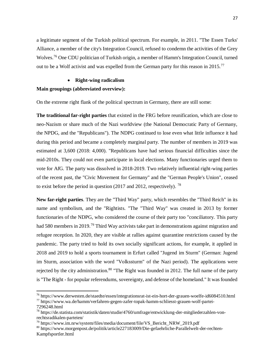a legitimate segment of the Turkish political spectrum. For example, in 2011. "The Essen Turks' Alliance, a member of the city's Integration Council, refused to condemn the activities of the Grey Wolves.<sup>76</sup> One CDU politician of Turkish origin, a member of Hamm's Integration Council, turned out to be a Wolf activist and was expelled from the German party for this reason in 2015.<sup>77</sup>

#### **Right-wing radicalism**

# **Main groupings (abbreviated overview):**

On the extreme right flank of the political spectrum in Germany, there are still some:

**The traditional far-right parties** that existed in the FRG before reunification, which are close to neo-Nazism or share much of the Nazi worldview (the National Democratic Party of Germany, the NPDG, and the "Republicans"). The NDPG continued to lose even what little influence it had during this period and became a completely marginal party. The number of members in 2019 was estimated at 3,600 (2018: 4,000). "Republicans have had serious financial difficulties since the mid-2010s. They could not even participate in local elections. Many functionaries urged them to vote for AfG. The party was dissolved in 2018-2019. Two relatively influential right-wing parties of the recent past, the "Civic Movement for Germany" and the "German People's Union", ceased to exist before the period in question  $(2017 \text{ and } 2012)$ , respectively). <sup>78</sup>

**New far-right parties**. They are the "Third Way" party, which resembles the "Third Reich" in its name and symbolism, and the "Rightists. "The "Third Way" was created in 2013 by former functionaries of the NDPG, who considered the course of their party too "conciliatory. This party had 580 members in 2019.<sup>79</sup> Third Way activists take part in demonstrations against migration and refugee reception. In 2020, they are visible at rallies against quarantine restrictions caused by the pandemic. The party tried to hold its own socially significant actions, for example, it applied in 2018 and 2019 to hold a sports tournament in Erfurt called "Jugend im Sturm" (German: Jugend im Sturm, association with the word "Volkssturm" of the Nazi period). The applications were rejected by the city administration.<sup>80</sup> "The Right was founded in 2012. The full name of the party is "The Right - for popular referendums, sovereignty, and defense of the homeland." It was founded

<sup>76</sup> https://www.derwesten.de/staedte/essen/integrationsrat-ist-ein-hort-der-grauen-woelfe-id6084510.html  $^{77}$  https://www.wa.de/hamm/verfahren-gegen-zafer-topak-hamm-schliesst-grauen-wolf-partei-

<sup>7296248.</sup>html

<sup>&</sup>lt;sup>78</sup> https://de.statista.com/statistik/daten/studie/4760/umfrage/entwicklung-der-mitgliederzahlen-vonrechtsradikalen-parteien/

 $^{79}$  https://www.im.nrw/system/files/media/document/file/VS\_Bericht\_NRW\_2019.pdf

<sup>80</sup> https://www.morgenpost.de/politik/article227183009/Die-gefaehrliche-Parallelwelt-der-rechten-Kampfsportler.html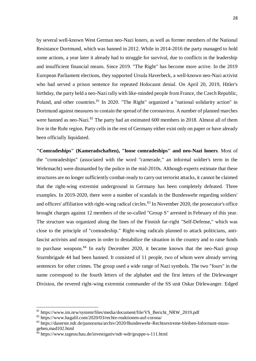by several well-known West German neo-Nazi loners, as well as former members of the National Resistance Dortmund, which was banned in 2012. While in 2014-2016 the party managed to hold some actions, a year later it already had to struggle for survival, due to conflicts in the leadership and insufficient financial means. Since 2019. "The Right" has become more active. In the 2019 European Parliament elections, they supported Ursula Haverbeck, a well-known neo-Nazi activist who had served a prison sentence for repeated Holocaust denial. On April 20, 2019, Hitler's birthday, the party held a neo-Nazi rally with like-minded people from France, the Czech Republic, Poland, and other countries.<sup>81</sup> In 2020. "The Right" organized a "national solidarity action" in Dortmund against measures to contain the spread of the coronavirus. A number of planned marches were banned as neo-Nazi.<sup>82</sup> The party had an estimated 600 members in 2018. Almost all of them live in the Ruhr region. Party cells in the rest of Germany either exist only on paper or have already been officially liquidated.

**"Comradeships" (Kameradschaften), "loose comradeships" and neo-Nazi loners**. Most of the "comradeships" (associated with the word "camerade," an informal soldier's term in the Wehrmacht) were dismantled by the police in the mid-2010s. Although experts estimate that these structures are no longer sufficiently combat-ready to carry out terrorist attacks, it cannot be claimed that the right-wing extremist underground in Germany has been completely defeated. Three examples. In 2019-2020, there were a number of scandals in the Bundeswehr regarding soldiers' and officers' affiliation with right-wing radical circles.<sup>83</sup> In November 2020, the prosecutor's office brought charges against 12 members of the so-called "Group S" arrested in February of this year. The structure was organized along the lines of the Finnish far-right "Self-Defense," which was close to the principle of "comradeship." Right-wing radicals planned to attack politicians, antifascist activists and mosques in order to destabilize the situation in the country and to raise funds to purchase weapons.<sup>84</sup> In early December 2020, it became known that the neo-Nazi group Sturmbrigade 44 had been banned. It consisted of 11 people, two of whom were already serving sentences for other crimes. The group used a wide range of Nazi symbols. The two "fours" in the name correspond to the fourth letters of the alphabet and the first letters of the Dirlewanger Division, the revered right-wing extremist commander of the SS unit Oskar Dirlewanger. Edged

 $81$  https://www.im.nrw/system/files/media/document/file/VS\_Bericht\_NRW\_2019.pdf

<sup>82</sup> https://www.hagalil.com/2020/03/rechte-reaktionen-auf-corona/

<sup>83</sup> https://daserste.ndr.de/panorama/archiv/2020/Bundeswehr-Rechtsextreme-bleiben-Informant-mussgehen,mad102.html

 $^{\bar{8}4}$  https://www.tagesschau.de/investigativ/ndr-wdr/gruppe-s-111.html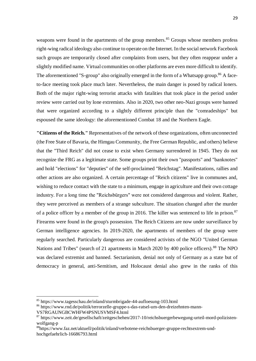weapons were found in the apartments of the group members.<sup>85</sup> Groups whose members profess right-wing radical ideology also continue to operate on the Internet. In the social network Facebook such groups are temporarily closed after complaints from users, but they often reappear under a slightly modified name. Virtual communities on other platforms are even more difficult to identify. The aforementioned "S-group" also originally emerged in the form of a Whatsapp group.<sup>86</sup> A faceto-face meeting took place much later. Nevertheless, the main danger is posed by radical loners. Both of the major right-wing terrorist attacks with fatalities that took place in the period under review were carried out by lone extremists. Also in 2020, two other neo-Nazi groups were banned that were organized according to a slightly different principle than the "comradeships" but espoused the same ideology: the aforementioned Combat 18 and the Northern Eagle.

**"Citizens of the Reich."** Representatives of the network of these organizations, often unconnected (the Free State of Bavaria, the Himgau Community, the Free German Republic, and others) believe that the "Third Reich" did not cease to exist when Germany surrendered in 1945. They do not recognize the FRG as a legitimate state. Some groups print their own "passports" and "banknotes" and hold "elections" for "deputies" of the self-proclaimed "Reichstag". Manifestations, rallies and other actions are also organized. A certain percentage of "Reich citizens" live in communes and, wishing to reduce contact with the state to a minimum, engage in agriculture and their own cottage industry. For a long time the "Reichsbürgers" were not considered dangerous and violent. Rather, they were perceived as members of a strange subculture. The situation changed after the murder of a police officer by a member of the group in 2016. The killer was sentenced to life in prison.<sup>87</sup> Firearms were found in the group's possession. The Reich Citizens are now under surveillance by German intelligence agencies. In 2019-2020, the apartments of members of the group were regularly searched. Particularly dangerous are considered activists of the NGO "United German Nations and Tribes" (search of 21 apartments in March 2020 by 400 police officers).<sup>88</sup> The NPO was declared extremist and banned. Sectarianism, denial not only of Germany as a state but of democracy in general, anti-Semitism, and Holocaust denial also grew in the ranks of this

<sup>85</sup> https://www.tagesschau.de/inland/sturmbrigade-44-aufloesung-103.html

<sup>86</sup> https://www.rnd.de/politik/terrorzelle-gruppe-s-das-ratsel-um-den-dreizehnten-mann-

VS7RGAUNGBCWHFW4PSNUSVMSF4.html

<sup>&</sup>lt;sup>87</sup> https://www.zeit.de/gesellschaft/zeitgeschehen/2017-10/reichsbuergerbewegung-urteil-mord-polizistenwolfgang-p

<sup>88</sup>https://www.faz.net/aktuell/politik/inland/verbotene-reichsbuerger-gruppe-rechtsextrem-undhochgefaehrlich-16686793.html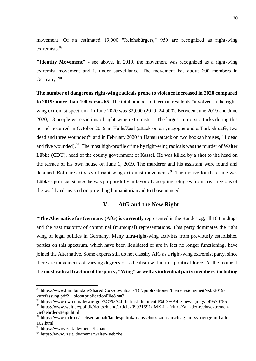movement. Of an estimated 19,000 "Reichsbürgers," 950 are recognized as right-wing extremists.<sup>89</sup>

**"Identity Movement"** - see above. In 2019, the movement was recognized as a right-wing extremist movement and is under surveillance. The movement has about 600 members in Germany.<sup>90</sup>

**The number of dangerous right-wing radicals prone to violence increased in 2020 compared to 2019: more than 100 versus 65.** The total number of German residents "involved in the rightwing extremist spectrum" in June 2020 was 32,000 (2019: 24,000). Between June 2019 and June 2020, 13 people were victims of right-wing extremists.<sup>91</sup> The largest terrorist attacks during this period occurred in October 2019 in Halle/Zaal (attack on a synagogue and a Turkish café, two dead and three wounded)<sup>92</sup> and in February 2020 in Hanau (attack on two hookah houses, 11 dead and five wounded).<sup>93</sup> The most high-profile crime by right-wing radicals was the murder of Walter Lübke (CDU), head of the county government of Kassel. He was killed by a shot to the head on the terrace of his own house on June 1, 2019. The murderer and his assistant were found and detained. Both are activists of right-wing extremist movements.<sup>94</sup> The motive for the crime was Lübke's political stance: he was purposefully in favor of accepting refugees from crisis regions of the world and insisted on providing humanitarian aid to those in need.

# **V. AfG and the New Right**

**"The Alternative for Germany (AfG) is currently** represented in the Bundestag, all 16 Landtags and the vast majority of communal (municipal) representations. This party dominates the right wing of legal politics in Germany. Many ultra-right-wing activists from previously established parties on this spectrum, which have been liquidated or are in fact no longer functioning, have joined the Alternative. Some experts still do not classify AfG as a right-wing extremist party, since there are movements of varying degrees of radicalism within this political force. At the moment the **most radical fraction of the party, "Wing" as well as individual party members, including** 

<sup>89</sup> https://www.bmi.bund.de/SharedDocs/downloads/DE/publikationen/themen/sicherheit/vsb-2019 kurzfassung.pdf? blob=publicationFile&v=3

<sup>90</sup> https://www.dw.com/de/wie-gef%C3%A4hrlich-ist-die-identit%C3%A4re-bewegung/a-49570755

<sup>&</sup>lt;sup>91</sup> https://www.welt.de/politik/deutschland/article209931591/IMK-in-Erfurt-Zahl-der-rechtsextremen-Gefaehrder-steigt.html

<sup>92</sup> https://www.mdr.de/sachsen-anhalt/landespolitik/u-ausschuss-zum-anschlag-auf-synagoge-in-halle-102.html

<sup>93</sup> https://www. zeit. de/thema/hanau

<sup>94</sup> https://www. zeit. de/thema/walter-luebcke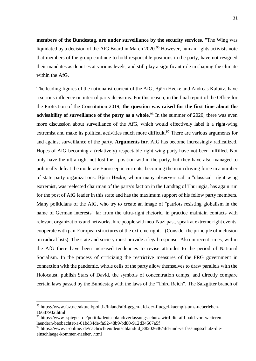**members of the Bundestag, are under surveillance by the security services.** "The Wing was liquidated by a decision of the AfG Board in March 2020.<sup>95</sup> However, human rights activists note that members of the group continue to hold responsible positions in the party, have not resigned their mandates as deputies at various levels, and still play a significant role in shaping the climate within the AfG.

The leading figures of the nationalist current of the AfG, Björn Hecke and Andreas Kalbitz, have a serious influence on internal party decisions. For this reason, in the final report of the Office for the Protection of the Constitution 2019, **the question was raised for the first time about the advisability of surveillance of the party as a whole.**<sup>96</sup> In the summer of 2020, there was even more discussion about surveillance of the AfG, which would effectively label it a right-wing extremist and make its political activities much more difficult.<sup>97</sup> There are various arguments for and against surveillance of the party. **Arguments for.** AfG has become increasingly radicalized. Hopes of AfG becoming a (relatively) respectable right-wing party have not been fulfilled. Not only have the ultra-right not lost their position within the party, but they have also managed to politically defeat the moderate Eurosceptic currents, becoming the main driving force in a number of state party organizations. Björn Hecke, whom many observers call a "classical" right-wing extremist, was reelected chairman of the party's faction in the Landtag of Thuringia, has again run for the post of AfG leader in this state and has the maximum support of his fellow party members. Many politicians of the AfG, who try to create an image of "patriots resisting globalism in the name of German interests" far from the ultra-right rhetoric, in practice maintain contacts with relevant organizations and networks, hire people with neo-Nazi past, speak at extreme right events, cooperate with pan-European structures of the extreme right. - (Consider the principle of inclusion on radical lists). The state and society must provide a legal response. Also in recent times, within the AfG there have been increased tendencies to revise attitudes to the period of National Socialism. In the process of criticizing the restrictive measures of the FRG government in connection with the pandemic, whole cells of the party allow themselves to draw parallels with the Holocaust, publish Stars of David, the symbols of concentration camps, and directly compare certain laws passed by the Bundestag with the laws of the "Third Reich". The Salzgitter branch of

<sup>95</sup> https://www.faz.net/aktuell/politik/inland/afd-gegen-afd-der-fluegel-kaempft-ums-ueberleben-16687932.html

<sup>96</sup> https://www. spiegel. de/politik/deutschland/verfassungsschutz-wird-die-afd-bald-von-weiterenlaendern-beobachtet-a-01bd34de-fa92-48b9-bd80-912d34567a5f

 $97$  https://www. t-online. de/nachrichten/deutschland/id  $88202646$ /afd-und-verfassungsschutz-dieeinschlaege-kommen-naeher. html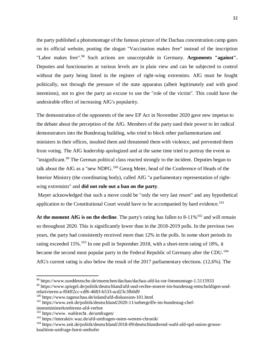the party published a photomontage of the famous picture of the Dachau concentration camp gates on its official website, posting the slogan "Vaccination makes free" instead of the inscription "Labor makes free".<sup>98</sup> Such actions are unacceptable in Germany. **Arguments "against".** Deputies and functionaries at various levels are in plain view and can be subjected to control without the party being listed in the register of right-wing extremists. AfG must be fought politically, not through the pressure of the state apparatus (albeit legitimately and with good intentions), not to give the party an excuse to use the "role of the victim". This could have the undesirable effect of increasing AfG's popularity.

The demonstration of the opponents of the new EP Act in November 2020 gave new impetus to the debate about the perception of the AfG. Members of the party used their power to let radical demonstrators into the Bundestag building, who tried to block other parliamentarians and ministers in their offices, insulted them and threatened them with violence, and prevented them from voting. The AfG leadership apologized and at the same time tried to portray the event as "insignificant.<sup>99</sup> The German political class reacted strongly to the incident. Deputies began to talk about the AfG as a "new NDPG.<sup>100</sup> Georg Meier, head of the Conference of Heads of the Interior Ministry (the coordinating body), called AfG "a parliamentary representation of rightwing extremists" and **did not rule out a ban on the party**.

Mayer acknowledged that such a move could be "only the very last resort" and any hypothetical application to the Constitutional Court would have to be accompanied by hard evidence.<sup>101</sup>

At the moment AfG is on the decline. The party's rating has fallen to 8-11%<sup>102</sup> and will remain so throughout 2020. This is significantly lower than in the 2018-2019 polls. In the previous two years, the party had consistently received more than 12% in the polls. In some short periods its rating exceeded 15%.<sup>103</sup> In one poll in September 2018, with a short-term rating of 18%, it became the second most popular party in the Federal Republic of Germany after the CDU.<sup>104</sup> AfG's current rating is also below the result of the 2017 parliamentary elections. (12,6%). The

<sup>98</sup> https://www.sueddeutsche.de/muenchen/dachau/dachau-afd-kz-tor-fotomontage-1.5115933

<sup>99</sup> https://www.spiegel.de/politik/deutschland/afd-und-rechte-stoerer-im-bundestag-entschuldigen-undrelativieren-a-f04ff2cc-cdf6-4683-b533-acd23c3fb0d9

<sup>100</sup> https://www.tagesschau.de/inland/afd-diskussion-101.html

<sup>101</sup> https://www.zeit.de/politik/deutschland/2020-11/uebergriffe-im-bundestag-chef-

innenministerkonferenz-afd-verbot

<sup>102</sup> https://www. wahlrecht. de/umfragen/

<sup>103</sup> https://interaktiv.waz.de/afd-umfragen-osten-westen-chronik/

<sup>&</sup>lt;sup>104</sup> https://www.zeit.de/politik/deutschland/2018-09/deutschlandtrend-wahl-afd-spd-union-grossekoalition-umfrage-horst-seehofer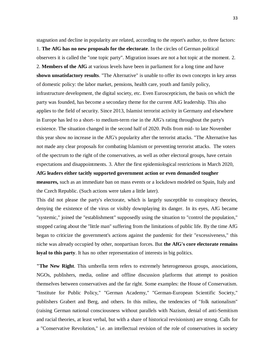stagnation and decline in popularity are related, according to the report's author, to three factors:

1. **The AfG has no new proposals for the electorate**. In the circles of German political observers it is called the "one topic party". Migration issues are not a hot topic at the moment. 2. 2. **Members of the AfG** at various levels have been in parliament for a long time and have **shown unsatisfactory results**. "The Alternative" is unable to offer its own concepts in key areas of domestic policy: the labor market, pensions, health care, youth and family policy, infrastructure development, the digital society, etc. Even Euroscepticism, the basis on which the party was founded, has become a secondary theme for the current AfG leadership. This also applies to the field of security. Since 2013, Islamist terrorist activity in Germany and elsewhere in Europe has led to a short- to medium-term rise in the AfG's rating throughout the party's existence. The situation changed in the second half of 2020. Polls from mid- to late November this year show no increase in the AfG's popularity after the terrorist attacks. "The Alternative has not made any clear proposals for combating Islamism or preventing terrorist attacks. The voters of the spectrum to the right of the conservatives, as well as other electoral groups, have certain expectations and disappointments. 3. After the first epidemiological restrictions in March 2020, **AfG leaders either tacitly supported government action or even demanded tougher measures,** such as an immediate ban on mass events or a lockdown modeled on Spain, Italy and

the Czech Republic. (Such actions were taken a little later).

This did not please the party's electorate, which is largely susceptible to conspiracy theories, denying the existence of the virus or visibly downplaying its danger. In its eyes, AfG became "systemic," joined the "establishment" supposedly using the situation to "control the population," stopped caring about the "little man" suffering from the limitations of public life. By the time AfG began to criticize the government's actions against the pandemic for their "excessiveness," this niche was already occupied by other, nonpartisan forces. But **the AfG's core electorate remains loyal to this party**. It has no other representation of interests in big politics.

**"The New Right**. This umbrella term refers to extremely heterogeneous groups, associations, NGOs, publishers, media, online and offline discussion platforms that attempt to position themselves between conservatives and the far right. Some examples: the House of Conservatism. "Institute for Public Policy," "German Academy," "German-European Scientific Society," publishers Grabert and Berg, and others. In this milieu, the tendencies of "folk nationalism" (raising German national consciousness without parallels with Nazism, denial of anti-Semitism and racial theories, at least verbal, but with a share of historical revisionism) are strong. Calls for a "Conservative Revolution," i.e. an intellectual revision of the role of conservatives in society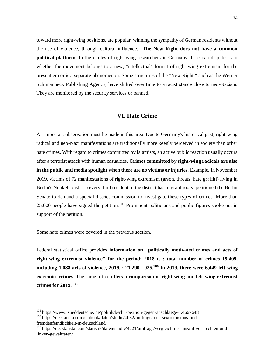toward more right-wing positions, are popular, winning the sympathy of German residents without the use of violence, through cultural influence. "**The New Right does not have a common political platform**. In the circles of right-wing researchers in Germany there is a dispute as to whether the movement belongs to a new, "intellectual" format of right-wing extremism for the present era or is a separate phenomenon. Some structures of the "New Right," such as the Werner Schimanneck Publishing Agency, have shifted over time to a racist stance close to neo-Nazism. They are monitored by the security services or banned.

# **VI. Hate Crime**

An important observation must be made in this area. Due to Germany's historical past, right-wing radical and neo-Nazi manifestations are traditionally more keenly perceived in society than other hate crimes. With regard to crimes committed by Islamists, an active public reaction usually occurs after a terrorist attack with human casualties. **Crimes committed by right-wing radicals are also in the public and media spotlight when there are no victims or injuries.** Example. In November 2019, victims of 72 manifestations of right-wing extremism (arson, threats, hate graffiti) living in Berlin's Neukeln district (every third resident of the district has migrant roots) petitioned the Berlin Senate to demand a special district commission to investigate these types of crimes. More than 25,000 people have signed the petition.<sup>105</sup> Prominent politicians and public figures spoke out in support of the petition.

Some hate crimes were covered in the previous section.

1

Federal statistical office provides **information on "politically motivated crimes and acts of right-wing extremist violence" for the period: 2018 г. : total number of crimes 19,409, including 1,088 acts of violence, 2019. : 21.290 - 925. <sup>106</sup> In 2019, there were 6,449 left-wing extremist crimes**. The same office offers **a comparison of right-wing and left-wing extremist crimes for 2019**. 107

<sup>&</sup>lt;sup>105</sup> https://www. sueddeutsche. de/politik/berlin-petition-gegen-anschlaege-1.4667648 <sup>106</sup> https://de.statista.com/statistik/daten/studie/4032/umfrage/rechtsextremismus-undfremdenfeindlichkeit-in-deutschland/

<sup>107</sup> https://de. statista. com/statistik/daten/studie/4721/umfrage/vergleich-der-anzahl-von-rechten-undlinken-gewalttaten/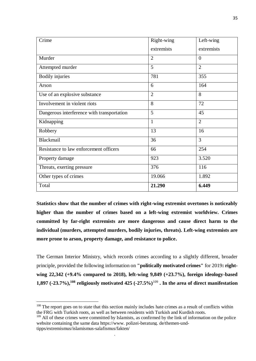| Crime                                      | Right-wing     | Left-wing      |
|--------------------------------------------|----------------|----------------|
|                                            | extremists     | extremists     |
| Murder                                     | $\overline{2}$ | $\overline{0}$ |
| Attempted murder                           | 5              | $\overline{2}$ |
| <b>Bodily injuries</b>                     | 781            | 355            |
| Arson                                      | 6              | 164            |
| Use of an explosive substance              | $\overline{2}$ | 8              |
| Involvement in violent riots               | 8              | 72             |
| Dangerous interference with transportation | 5              | 45             |
| Kidnapping                                 | 1              | $\overline{2}$ |
| Robbery                                    | 13             | 16             |
| Blackmail                                  | 36             | 3              |
| Resistance to law enforcement officers     | 66             | 254            |
| Property damage                            | 923            | 3.520          |
| Threats, exerting pressure                 | 376            | 116            |
| Other types of crimes                      | 19.066         | 1.892          |
| Total                                      | 21.290         | 6.449          |

**Statistics show that the number of crimes with right-wing extremist overtones is noticeably higher than the number of crimes based on a left-wing extremist worldview. Crimes committed by far-right extremists are more dangerous and cause direct harm to the individual (murders, attempted murders, bodily injuries, threats). Left-wing extremists are more prone to arson, property damage, and resistance to police.** 

The German Interior Ministry, which records crimes according to a slightly different, broader principle, provided the following information on **"politically motivated crimes"** for 2019**: rightwing 22,342 (+9.4% compared to 2018), left-wing 9,849 (+23.7%), foreign ideology-based 1,897 (-23.7%),<sup>108</sup> religiously motivated 425 (-27.5%)**<sup>109</sup> **. In the area of direct manifestation** 

1

beobachten019: 48 Fälle, 2018: 58 Fälle).

<sup>&</sup>lt;sup>108</sup> The report goes on to state that this section mainly includes hate crimes as a result of conflicts within the FRG with Turkish roots, as well as between residents with Turkish and Kurdish roots.

 $109$  All of these crimes were committed by Islamists, as confirmed by the link of information on the police website containing the same data https://www. polizei-beratung. de/themen-undtipps/extremismus/islamismus-salafismus/fakten/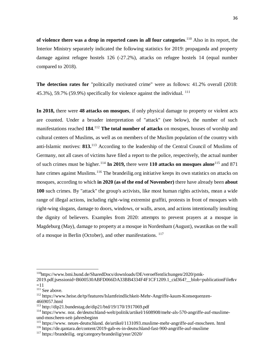**of violence there was a drop in reported cases in all four categories**. <sup>110</sup> Also in its report, the Interior Ministry separately indicated the following statistics for 2019: propaganda and property damage against refugee hostels 126 (-27.2%), attacks on refugee hostels 14 (equal number compared to 2018).

**The detection rates for** "politically motivated crime" were as follows: 41.2% overall (2018: 45.3%), 59.7% (59.9%) specifically for violence against the individual. <sup>111</sup>

**In 2018,** there were **48 attacks on mosques**, if only physical damage to property or violent acts are counted. Under a broader interpretation of "attack" (see below), the number of such manifestations reached 184.<sup>112</sup> The total number of attacks on mosques, houses of worship and cultural centers of Muslims, as well as on members of the Muslim population of the country with anti-Islamic motives: **813.**<sup>113</sup> According to the leadership of the Central Council of Muslims of Germany, not all cases of victims have filed a report to the police, respectively, the actual number of such crimes must be higher.<sup>114</sup> **In 2019,** there were **110 attacks on mosques alone**<sup>115</sup> and 871 hate crimes against Muslims.<sup>116</sup> The brandeilig.org initiative keeps its own statistics on attacks on mosques, according to which **in 2020 (as of the end of November)** there have already been **about 100** such crimes. By "attack" the group's activists, like most human rights activists, mean a wide range of illegal actions, including right-wing extremist graffiti, protests in front of mosques with right-wing slogans, damage to doors, windows, or walls, arson, and actions intentionally insulting the dignity of believers. Examples from 2020: attempts to prevent prayers at a mosque in Magdeburg (May), damage to property at a mosque in Nordenham (August), swastikas on the wall of a mosque in Berlin (October), and other manifestations. <sup>117</sup>

<sup>110</sup>https://www.bmi.bund.de/SharedDocs/downloads/DE/veroeffentlichungen/2020/pmk-

<sup>2019.</sup>pdf;jsessionid=B600530ABFD066DA33BB4334F4F1CF1209.1\_cid364?\_\_blob=publicationFile&v  $=11$ 

<sup>&</sup>lt;sup>111</sup> See above.

<sup>112</sup> https://www.heise.de/tp/features/Islamfeindlichkeit-Mehr-Angriffe-kaum-Konsequenzen-4669057.html

<sup>113</sup> http://dip21.bundestag.de/dip21/btd/19/170/1917069.pdf

<sup>114</sup> https://www. noz. de/deutschland-welt/politik/artikel/1608908/mehr-als-570-angriffe-auf-muslimeund-moscheen-seit-jahresbeginn

<sup>115</sup> https://www. neues-deutschland. de/artikel/1131093.muslime-mehr-angriffe-auf-moscheen. html

<sup>116</sup> https://de.qantara.de/content/2019-gab-es-in-deutschland-fast-900-angriffe-auf-muslime

<sup>117</sup> https://brandeilig. org/category/brandeilig/year/2020/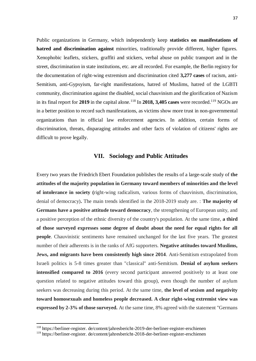Public organizations in Germany, which independently keep **statistics on manifestations of hatred and discrimination against** minorities, traditionally provide different, higher figures. Xenophobic leaflets, stickers, graffiti and stickers, verbal abuse on public transport and in the street, discrimination in state institutions, etc. are all recorded. For example, the Berlin registry for the documentation of right-wing extremism and discrimination cited **3,277 cases** of racism, anti-Semitism, anti-Gypsyism, far-right manifestations, hatred of Muslims, hatred of the LGBTI community, discrimination against the disabled, social chauvinism and the glorification of Nazism in its final report for 2019 in the capital alone.<sup>118</sup> In 2018, 3,405 cases were recorded.<sup>119</sup> NGOs are in a better position to record such manifestations, as victims show more trust in non-governmental organizations than in official law enforcement agencies. In addition, certain forms of discrimination, threats, disparaging attitudes and other facts of violation of citizens' rights are difficult to prove legally.

#### **VII. Sociology and Public Attitudes**

Every two years the Friedrich Ebert Foundation publishes the results of a large-scale study of **the attitudes of the majority population in Germany toward members of minorities and the level of intolerance in society (**right-wing radicalism, various forms of chauvinism, discrimination, denial of democracy)**.** The main trends identified in the 2018-2019 study are. : **The majority of Germans have a positive attitude toward democracy**, the strengthening of European unity, and a positive perception of the ethnic diversity of the country's population. At the same time, **a third of those surveyed expresses some degree of doubt about the need for equal rights for all people**. Chauvinistic sentiments have remained unchanged for the last five years. The greatest number of their adherents is in the ranks of AfG supporters. **Negative attitudes toward Muslims, Jews, and migrants have been consistently high since 2014**. Anti-Semitism extrapolated from Israeli politics is 5-8 times greater than "classical" anti-Semitism. **Denial of asylum seekers intensified compared to 2016** (every second participant answered positively to at least one question related to negative attitudes toward this group), even though the number of asylum seekers was decreasing during this period. At the same time, **the level of sexism and negativity toward homosexuals and homeless people decreased. A clear right-wing extremist view was expressed by 2-3% of those surveyed.** At the same time, 8% agreed with the statement "Germans

 $\overline{a}$ 

<sup>118</sup> https://berliner-register. de/content/jahresbericht-2019-der-berliner-register-erschienen

<sup>119</sup> https://berliner-register. de/content/jahresbericht-2018-der-berliner-register-erschienen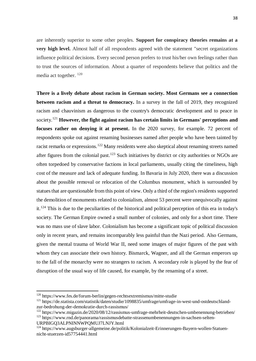are inherently superior to some other peoples. **Support for conspiracy theories remains at a very high level.** Almost half of all respondents agreed with the statement "secret organizations influence political decisions. Every second person prefers to trust his/her own feelings rather than to trust the sources of information. About a quarter of respondents believe that politics and the media act together. <sup>120</sup>

**There is a lively debate about racism in German society. Most Germans see a connection between racism and a threat to democracy.** In a survey in the fall of 2019, they recognized racism and chauvinism as dangerous to the country's democratic development and to peace in society.<sup>121</sup> **However, the fight against racism has certain limits in Germans' perceptions and focuses rather on denying it at present.** In the 2020 survey, for example. 72 percent of respondents spoke out against renaming businesses named after people who have been tainted by racist remarks or expressions.<sup>122</sup> Many residents were also skeptical about renaming streets named after figures from the colonial past.<sup>123</sup> Such initiatives by district or city authorities or NGOs are often torpedoed by conservative factions in local parliaments, usually citing the timeliness, high cost of the measure and lack of adequate funding. In Bavaria in July 2020, there was a discussion about the possible removal or relocation of the Columbus monument, which is surrounded by statues that are questionable from this point of view. Only a third of the region's residents supported the demolition of monuments related to colonialism, almost 53 percent were unequivocally against it.<sup>124</sup> This is due to the peculiarities of the historical and political perception of this era in today's society. The German Empire owned a small number of colonies, and only for a short time. There was no mass use of slave labor. Colonialism has become a significant topic of political discussion only in recent years, and remains incomparably less painful than the Nazi period. Also Germans, given the mental trauma of World War II, need some images of major figures of the past with whom they can associate their own history. Bismarck, Wagner, and all the German emperors up to the fall of the monarchy were no strangers to racism. A secondary role is played by the fear of disruption of the usual way of life caused, for example, by the renaming of a street.

URPBIGQ3ALPNINNWPQMUJ7LNJY.html

<sup>120</sup> https://www.fes.de/forum-berlin/gegen-rechtsextremismus/mitte-studie

<sup>121</sup> https://de.statista.com/statistik/daten/studie/1098835/umfrage/umfrage-in-west-und-ostdeutschlandzur-bedrohung-der-demokratie-durch-rassismus/

<sup>122</sup> https://www.migazin.de/2020/08/12/rassismus-umfrage-mehrheit-deutschen-umbenennung-betrieben/ <sup>123</sup> https://www.rnd.de/panorama/rassismusdebatte-strassenumbenennungen-in-sachsen-selten-

<sup>&</sup>lt;sup>124</sup> https://www.augsburger-allgemeine.de/politik/Kolonialzeit-Erinnerungen-Bayern-wollen-Statuennicht-stuerzen-id57754441.html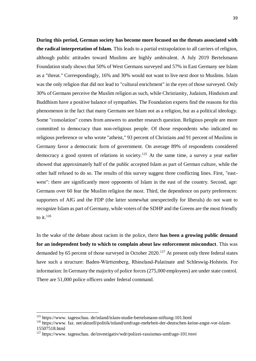**During this period, German society has become more focused on the threats associated with the radical interpretation of Islam.** This leads to a partial extrapolation to all carriers of religion, although public attitudes toward Muslims are highly ambivalent. A July 2019 Bertelsmann Foundation study shows that 50% of West Germans surveyed and 57% in East Germany see Islam as a "threat." Correspondingly, 16% and 30% would not want to live next door to Muslims. Islam was the only religion that did not lead to "cultural enrichment" in the eyes of those surveyed. Only 30% of Germans perceive the Muslim religion as such, while Christianity, Judaism, Hinduism and Buddhism have a positive balance of sympathies. The Foundation experts find the reasons for this phenomenon in the fact that many Germans see Islam not as a religion, but as a political ideology. Some "consolation" comes from answers to another research question. Religious people are more committed to democracy than non-religious people. Of those respondents who indicated no religious preference or who wrote "atheist," 93 percent of Christians and 91 percent of Muslims in Germany favor a democratic form of government. On average 89% of respondents considered democracy a good system of relations in society.<sup>125</sup> At the same time, a survey a year earlier showed that approximately half of the public accepted Islam as part of German culture, while the other half refused to do so. The results of this survey suggest three conflicting lines. First, "eastwest": there are significantly more opponents of Islam in the east of the country. Second, age: Germans over 60 fear the Muslim religion the most. Third, the dependence on party preferences: supporters of AfG and the FDP (the latter somewhat unexpectedly for liberals) do not want to recognize Islam as part of Germany, while voters of the SDHP and the Greens are the most friendly to it. $^{126}$ 

In the wake of the debate about racism in the police, there **has been a growing public demand for an independent body to which to complain about law enforcement misconduct**. This was demanded by 65 percent of those surveyed in October 2020.<sup>127</sup> At present only three federal states have such a structure: Baden-Württemberg, Rhineland-Palatinate and Schleswig-Holstein. For information: In Germany the majority of police forces (275,000 employees) are under state control. There are 51,000 police officers under federal command.

 $\overline{a}$ 

<sup>125</sup> https://www. tagesschau. de/inland/islam-studie-bertelsmann-stiftung-101.html

<sup>126</sup> https://www. faz. net/aktuell/politik/inland/umfrage-mehrheit-der-deutschen-keine-angst-vor-islam-15507518.html

<sup>127</sup> https://www. tagesschau. de/investigativ/wdr/polizei-rassismus-umfrage-101.html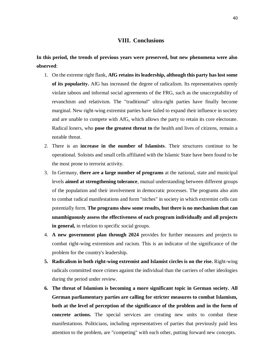# **VIII. Conclusions**

**In this period, the trends of previous years were preserved, but new phenomena were also observed**:

- 1. On the extreme right flank, **AfG retains its leadership, although this party has lost some of its popularity.** AfG has increased the degree of radicalism. Its representatives openly violate taboos and informal social agreements of the FRG, such as the unacceptability of revanchism and relativism. The "traditional" ultra-right parties have finally become marginal. New right-wing extremist parties have failed to expand their influence in society and are unable to compete with AfG, which allows the party to retain its core electorate. Radical loners, who **pose the greatest threat to** the health and lives of citizens, remain a notable threat.
- 2. There is an **increase in the number of Islamists**. Their structures continue to be operational. Soloists and small cells affiliated with the Islamic State have been found to be the most prone to terrorist activity.
- 3. In Germany, **there are a large number of programs** at the national, state and municipal levels **aimed at strengthening tolerance**, mutual understanding between different groups of the population and their involvement in democratic processes. The programs also aim to combat radical manifestations and form "niches" in society in which extremist cells can potentially form. **The programs show some results, but there is no mechanism that can unambiguously assess the effectiveness of each program individually and all projects in general,** in relation to specific social groups.
- 4. **A new government plan through 2024** provides for further measures and projects to combat right-wing extremism and racism. This is an indicator of the significance of the problem for the country's leadership.
- **5. Radicalism in both right-wing extremist and Islamist circles is on the rise.** Right-wing radicals committed more crimes against the individual than the carriers of other ideologies during the period under review.
- **6. The threat of Islamism is becoming a more significant topic in German society. All German parliamentary parties are calling for stricter measures to combat Islamism, both at the level of perception of the significance of the problem and in the form of concrete actions.** The special services are creating new units to combat these manifestations. Politicians, including representatives of parties that previously paid less attention to the problem, are "competing" with each other, putting forward new concepts.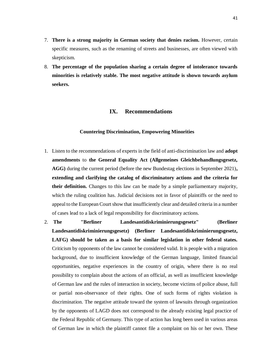- 7. **There is a strong majority in German society that denies racism.** However, certain specific measures, such as the renaming of streets and businesses, are often viewed with skepticism.
- 8. **The percentage of the population sharing a certain degree of intolerance towards minorities is relatively stable. The most negative attitude is shown towards asylum seekers.**

# **IX. Recommendations**

#### **Countering Discrimination, Empowering Minorities**

- 1. Listen to the recommendations of experts in the field of anti-discrimination law and **adopt amendments** to **the General Equality Act (Allgemeines Gleichbehandlungsgesetz, AGG)** during the current period (before the new Bundestag elections in September 2021)**, extending and clarifying the catalog of discriminatory actions and the criteria for their definition.** Changes to this law can be made by a simple parliamentary majority, which the ruling coalition has. Judicial decisions not in favor of plaintiffs or the need to appeal to the European Court show that insufficiently clear and detailed criteria in a number of cases lead to a lack of legal responsibility for discriminatory actions.
- 2. **The "Berliner Landesantidiskriminierungsgesetz" (Berliner Landesantidiskriminierungsgesetz) (Berliner Landesantidiskriminierungsgesetz, LAFG) should be taken as a basis for similar legislation in other federal states.**  Criticism by opponents of the law cannot be considered valid. It is people with a migration background, due to insufficient knowledge of the German language, limited financial opportunities, negative experiences in the country of origin, where there is no real possibility to complain about the actions of an official, as well as insufficient knowledge of German law and the rules of interaction in society, become victims of police abuse, full or partial non-observance of their rights. One of such forms of rights violation is discrimination. The negative attitude toward the system of lawsuits through organization by the opponents of LAGD does not correspond to the already existing legal practice of the Federal Republic of Germany. This type of action has long been used in various areas of German law in which the plaintiff cannot file a complaint on his or her own. These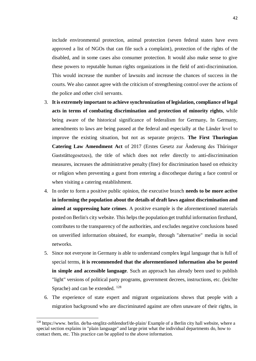include environmental protection, animal protection (seven federal states have even approved a list of NGOs that can file such a complaint), protection of the rights of the disabled, and in some cases also consumer protection. It would also make sense to give these powers to reputable human rights organizations in the field of anti-discrimination. This would increase the number of lawsuits and increase the chances of success in the courts. We also cannot agree with the criticism of strengthening control over the actions of the police and other civil servants.

- 3. **It is extremely important to achieve synchronization of legislation, compliance of legal acts in terms of combating discrimination and protection of minority rights**, while being aware of the historical significance of federalism for Germany**.** In Germany, amendments to laws are being passed at the federal and especially at the Länder level to improve the existing situation, but not as separate projects. **The First Thuringian Catering Law Amendment Act** of 2017 (Erstes Gesetz zur Änderung des Thüringer Gaststättegesetzes), the title of which does not refer directly to anti-discrimination measures, increases the administrative penalty (fine) for discrimination based on ethnicity or religion when preventing a guest from entering a discotheque during a face control or when visiting a catering establishment.
- 4. In order to form a positive public opinion, the executive branch **needs to be more active in informing the population about the details of draft laws against discrimination and aimed at suppressing hate crimes**. A positive example is the aforementioned materials posted on Berlin's city website. This helps the population get truthful information firsthand, contributes to the transparency of the authorities, and excludes negative conclusions based on unverified information obtained, for example, through "alternative" media in social networks.
- 5. Since not everyone in Germany is able to understand complex legal language that is full of special terms, **it is recommended that the aforementioned information also be posted in simple and accessible language**. Such an approach has already been used to publish "light" versions of political party programs, government decrees, instructions, etc. (leichte Sprache) and can be extended.  $^{128}$
- 6. The experience of state expert and migrant organizations shows that people with a migration background who are discriminated against are often unaware of their rights, in

 $128$  [https://www. berlin. de/ba-steglitz-zehlendorf/de-plain/](https://www.berlin.de/ba-steglitz-zehlendorf/de-plain/) Example of a Berlin city hall website, where a special section explains in "plain language" and large print what the individual departments do, how to contact them, etc. This practice can be applied to the above information.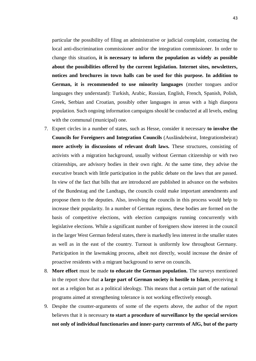particular the possibility of filing an administrative or judicial complaint, contacting the local anti-discrimination commissioner and/or the integration commissioner. In order to change this situation**, it is necessary to inform the population as widely as possible about the possibilities offered by the current legislation. Internet sites, newsletters, notices and brochures in town halls can be used for this purpose. In addition to German, it is recommended to use minority languages** (mother tongues and/or languages they understand): Turkish, Arabic, Russian, English, French, Spanish, Polish, Greek, Serbian and Croatian, possibly other languages in areas with a high diaspora population. Such ongoing information campaigns should be conducted at all levels, ending with the communal (municipal) one.

- 7. Expert circles in a number of states, such as Hesse, consider it necessary **to involve the Councils for Foreigners and Integration Councils** (Ausländebeirat, Integrationsbeirat) **more actively in discussions of relevant draft laws.** These structures, consisting of activists with a migration background, usually without German citizenship or with two citizenships, are advisory bodies in their own right. At the same time, they advise the executive branch with little participation in the public debate on the laws that are passed. In view of the fact that bills that are introduced are published in advance on the websites of the Bundestag and the Landtags, the councils could make important amendments and propose them to the deputies. Also, involving the councils in this process would help to increase their popularity. In a number of German regions, these bodies are formed on the basis of competitive elections, with election campaigns running concurrently with legislative elections. While a significant number of foreigners show interest in the council in the larger West German federal states, there is markedly less interest in the smaller states as well as in the east of the country. Turnout is uniformly low throughout Germany. Participation in the lawmaking process, albeit not directly, would increase the desire of proactive residents with a migrant background to serve on councils.
- 8. **More effort** must be made **to educate the German population.** The surveys mentioned in the report show that **a large part of German society is hostile to Islam**, perceiving it not as a religion but as a political ideology. This means that a certain part of the national programs aimed at strengthening tolerance is not working effectively enough.
- 9. Despite the counter-arguments of some of the experts above, the author of the report believes that it is necessary **to start a procedure of surveillance by the special services not only of individual functionaries and inner-party currents of AfG, but of the party**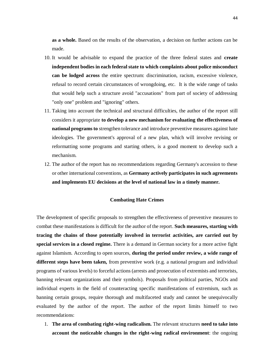**as a whole.** Based on the results of the observation, a decision on further actions can be made.

- 10. It would be advisable to expand the practice of the three federal states and **create independent bodies in each federal state to which complaints about police misconduct can be lodged across** the entire spectrum: discrimination, racism, excessive violence, refusal to record certain circumstances of wrongdoing, etc. It is the wide range of tasks that would help such a structure avoid "accusations" from part of society of addressing "only one" problem and "ignoring" others.
- 11. Taking into account the technical and structural difficulties, the author of the report still considers it appropriate **to develop a new mechanism for evaluating the effectiveness of national programs to** strengthen tolerance and introduce preventive measures against hate ideologies. The government's approval of a new plan, which will involve revising or reformatting some programs and starting others, is a good moment to develop such a mechanism.
- 12. The author of the report has no recommendations regarding Germany's accession to these or other international conventions, as **Germany actively participates in such agreements and implements EU decisions at the level of national law in a timely manner.**

#### **Combating Hate Crimes**

The development of specific proposals to strengthen the effectiveness of preventive measures to combat these manifestations is difficult for the author of the report. **Such measures, starting with tracing the chains of those potentially involved in terrorist activities, are carried out by special services in a closed regime.** There is a demand in German society for a more active fight against Islamism. According to open sources, **during the period under review, a wide range of different steps have been taken,** from preventive work (e.g. a national program and individual programs of various levels) to forceful actions (arrests and prosecution of extremists and terrorists, banning relevant organizations and their symbols). Proposals from political parties, NGOs and individual experts in the field of counteracting specific manifestations of extremism, such as banning certain groups, require thorough and multifaceted study and cannot be unequivocally evaluated by the author of the report. The author of the report limits himself to two recommendations:

1. **The area of combating right-wing radicalism.** The relevant structures **need to take into account the noticeable changes in the right-wing radical environment**: the ongoing